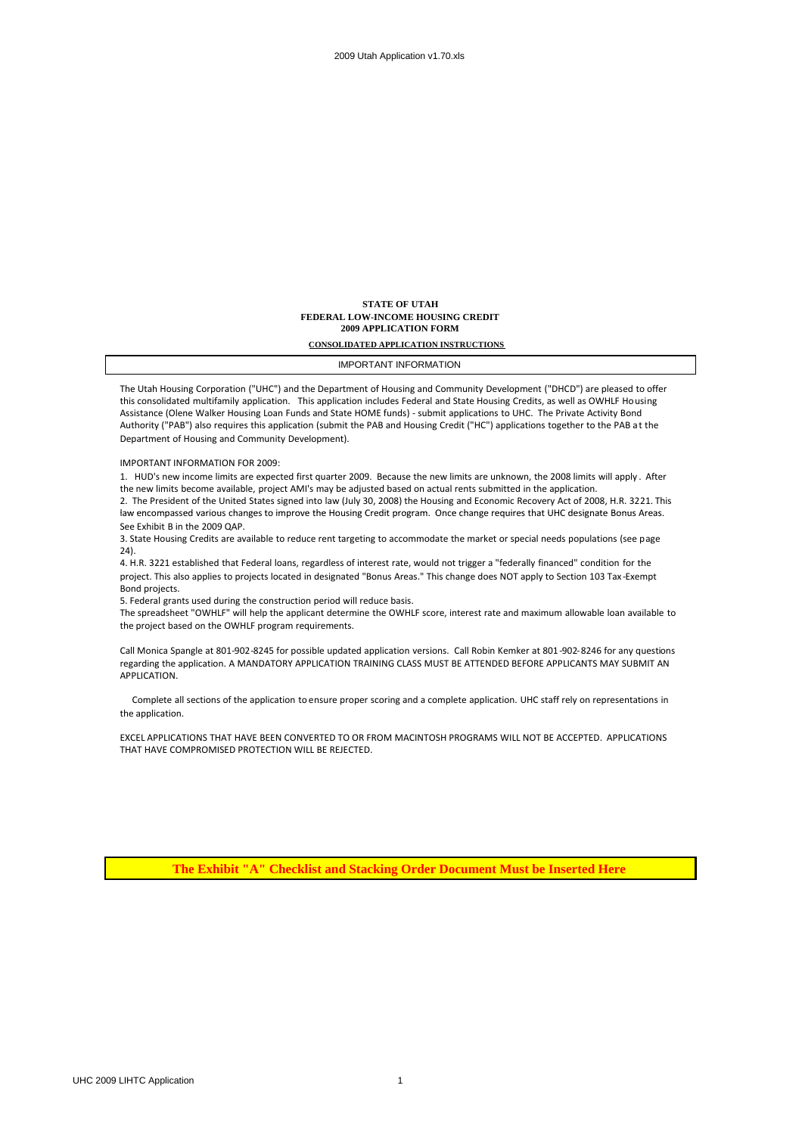#### **STATE OF UTAH FEDERAL LOW-INCOME HOUSING CREDIT 2009 APPLICATION FORM**

**CONSOLIDATED APPLICATION INSTRUCTIONS**

IMPORTANT INFORMATION

The Utah Housing Corporation ("UHC") and the Department of Housing and Community Development ("DHCD") are pleased to offer this consolidated multifamily application. This application includes Federal and State Housing Credits, as well as OWHLF Housing Assistance (Olene Walker Housing Loan Funds and State HOME funds) - submit applications to UHC. The Private Activity Bond Authority ("PAB") also requires this application (submit the PAB and Housing Credit ("HC") applications together to the PAB at the Department of Housing and Community Development).

IMPORTANT INFORMATION FOR 2009:

1. HUD's new income limits are expected first quarter 2009. Because the new limits are unknown, the 2008 limits will apply . After the new limits become available, project AMI's may be adjusted based on actual rents submitted in the application.

2. The President of the United States signed into law (July 30, 2008) the Housing and Economic Recovery Act of 2008, H.R. 3221. This law encompassed various changes to improve the Housing Credit program. Once change requires that UHC designate Bonus Areas. See Exhibit B in the 2009 QAP.

3. State Housing Credits are available to reduce rent targeting to accommodate the market or special needs populations (see page 24).

4. H.R. 3221 established that Federal loans, regardless of interest rate, would not trigger a "federally financed" condition for the project. This also applies to projects located in designated "Bonus Areas." This change does NOT apply to Section 103 Tax -Exempt Bond projects.

5. Federal grants used during the construction period will reduce basis.

The spreadsheet "OWHLF" will help the applicant determine the OWHLF score, interest rate and maximum allowable loan available to the project based on the OWHLF program requirements.

Call Monica Spangle at 801-902-8245 for possible updated application versions. Call Robin Kemker at 801-902-8246 for any questions regarding the application. A MANDATORY APPLICATION TRAINING CLASS MUST BE ATTENDED BEFORE APPLICANTS MAY SUBMIT AN APPLICATION.

Complete all sections of the application to ensure proper scoring and a complete application. UHC staff rely on representations in the application.

EXCEL APPLICATIONS THAT HAVE BEEN CONVERTED TO OR FROM MACINTOSH PROGRAMS WILL NOT BE ACCEPTED. APPLICATIONS THAT HAVE COMPROMISED PROTECTION WILL BE REJECTED.

**The Exhibit "A" Checklist and Stacking Order Document Must be Inserted Here**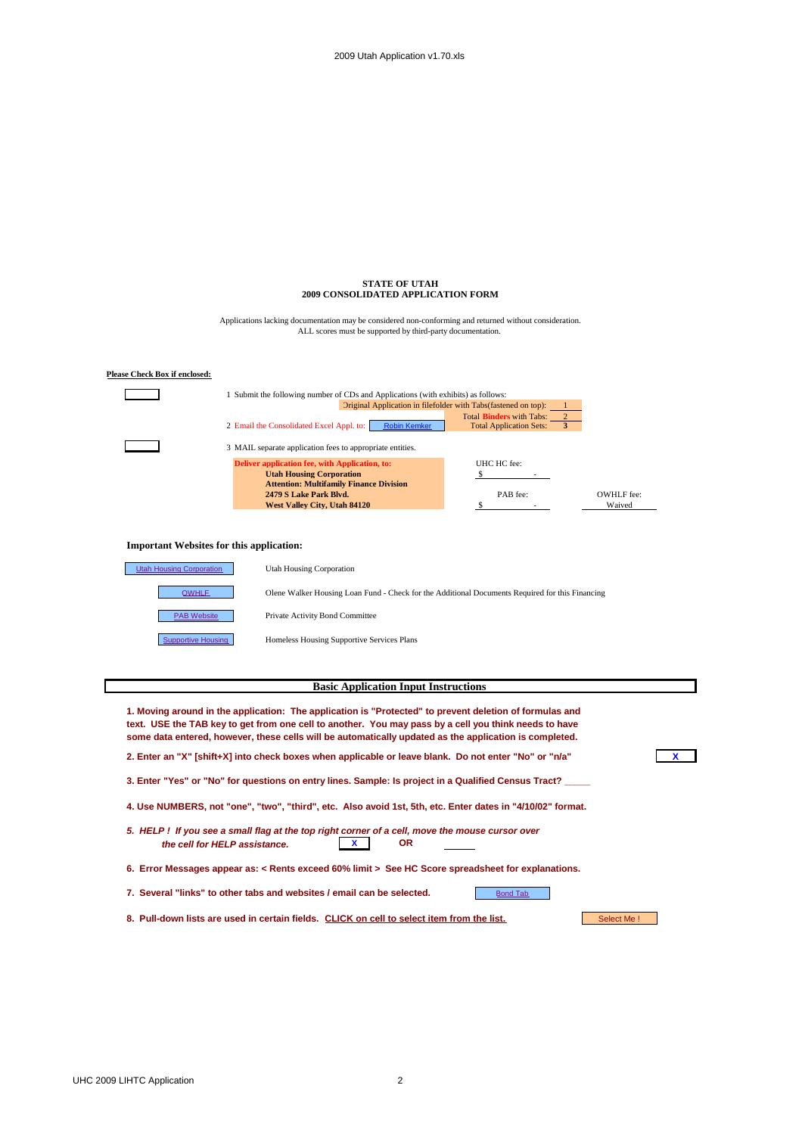#### **STATE OF UTAH 2009 CONSOLIDATED APPLICATION FORM**

ALL scores must be supported by third-party documentation. Applications lacking documentation may be considered non-conforming and returned without consideration.



#### **Basic Application Input Instructions**

**1. Moving around in the application: The application is "Protected" to prevent deletion of formulas and text. USE the TAB key to get from one cell to another. You may pass by a cell you think needs to have some data entered, however, these cells will be automatically updated as the application is completed.**

**2. Enter an "X" [shift+X] into check boxes when applicable or leave blank. Do not enter "No" or "n/a" X**

**3. Enter "Yes" or "No" for questions on entry lines. Sample: Is project in a Qualified Census Tract? \_\_\_\_\_**

**4. Use NUMBERS, not "one", "two", "third", etc. Also avoid 1st, 5th, etc. Enter dates in "4/10/02" format.**

- *5. HELP ! If you see a small flag at the top right corner of a cell, move the mouse cursor over the cell for HELP assistance.* **X OR**
- **6. Error Messages appear as: < Rents exceed 60% limit > See HC Score spreadsheet for explanations.**

7. Several "links" to other tabs and websites / email can be selected.

8. Pull-down lists are used in certain fields. **CLICK on cell to select item from the list.** Select Me !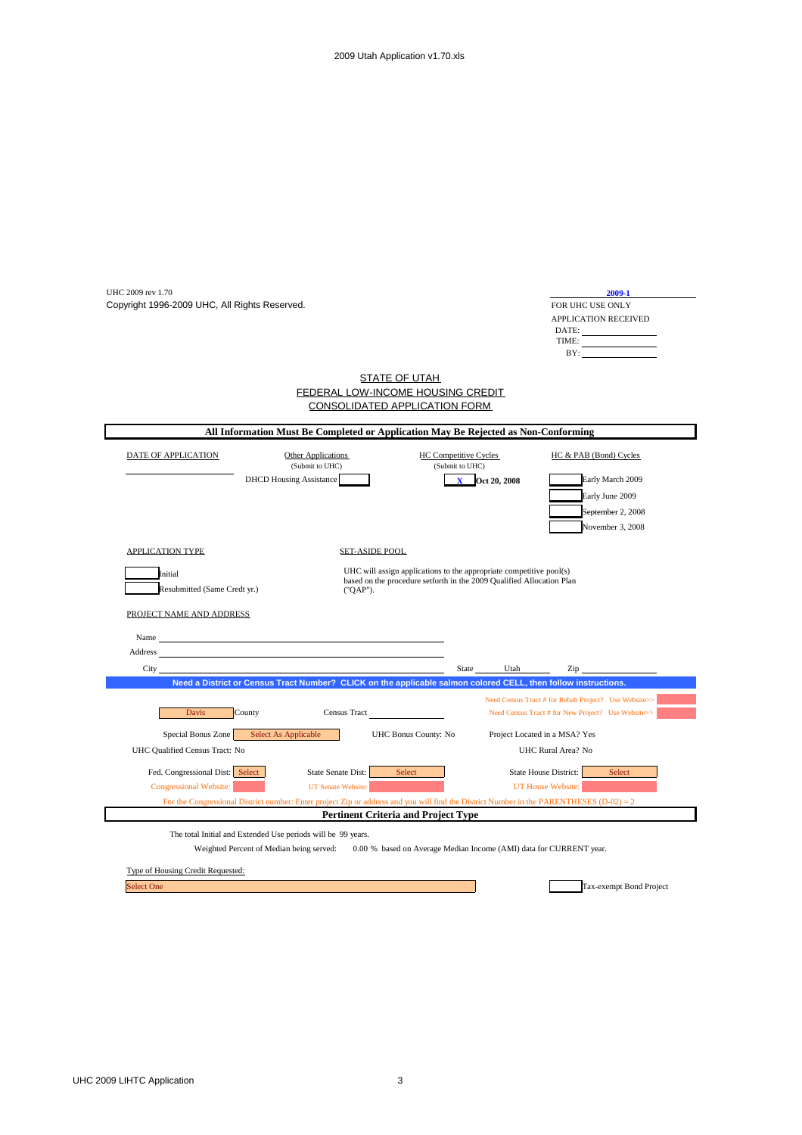| UHC 2009 rev 1.70                                                |                                                                                                                                           |                                                   | 2009-1                                                                                                     |
|------------------------------------------------------------------|-------------------------------------------------------------------------------------------------------------------------------------------|---------------------------------------------------|------------------------------------------------------------------------------------------------------------|
| Copyright 1996-2009 UHC, All Rights Reserved.                    |                                                                                                                                           |                                                   | FOR UHC USE ONLY                                                                                           |
|                                                                  |                                                                                                                                           |                                                   | APPLICATION RECEIVED                                                                                       |
|                                                                  |                                                                                                                                           |                                                   | $\begin{tabular}{c} \bf{DATE:} \end{tabular}$                                                              |
|                                                                  |                                                                                                                                           |                                                   | BY:                                                                                                        |
|                                                                  | <b>STATE OF UTAH</b>                                                                                                                      |                                                   |                                                                                                            |
|                                                                  | FEDERAL LOW-INCOME HOUSING CREDIT                                                                                                         |                                                   |                                                                                                            |
|                                                                  | <b>CONSOLIDATED APPLICATION FORM</b>                                                                                                      |                                                   |                                                                                                            |
|                                                                  | All Information Must Be Completed or Application May Be Rejected as Non-Conforming                                                        |                                                   |                                                                                                            |
| DATE OF APPLICATION                                              | Other Applications<br><b>HC Competitive Cycles</b>                                                                                        |                                                   | HC & PAB (Bond) Cycles                                                                                     |
|                                                                  | (Submit to UHC)<br>(Submit to UHC)                                                                                                        |                                                   |                                                                                                            |
| <b>DHCD</b> Housing Assistance                                   |                                                                                                                                           | Oct 20, 2008                                      | Early March 2009                                                                                           |
|                                                                  |                                                                                                                                           |                                                   | Early June 2009                                                                                            |
|                                                                  |                                                                                                                                           |                                                   | September 2, 2008                                                                                          |
|                                                                  |                                                                                                                                           |                                                   | November 3, 2008                                                                                           |
| <b>APPLICATION TYPE</b>                                          | <b>SET-ASIDE POOL</b>                                                                                                                     |                                                   |                                                                                                            |
| Initial                                                          | UHC will assign applications to the appropriate competitive pool(s)                                                                       |                                                   |                                                                                                            |
| Resubmitted (Same Credt yr.)                                     | based on the procedure setforth in the 2009 Qualified Allocation Plan<br>("QAP").                                                         |                                                   |                                                                                                            |
|                                                                  |                                                                                                                                           |                                                   |                                                                                                            |
| PROJECT NAME AND ADDRESS                                         |                                                                                                                                           |                                                   |                                                                                                            |
| Name                                                             |                                                                                                                                           |                                                   |                                                                                                            |
|                                                                  |                                                                                                                                           |                                                   |                                                                                                            |
| Address                                                          |                                                                                                                                           |                                                   |                                                                                                            |
| City                                                             |                                                                                                                                           | State<br>Utah                                     | Zip                                                                                                        |
|                                                                  | Need a District or Census Tract Number? CLICK on the applicable salmon colored CELL, then follow instructions.                            |                                                   |                                                                                                            |
| <b>Davis</b><br>County                                           | Census Tract                                                                                                                              |                                                   | Need Census Tract # for Rehab Project? Use Website>><br>Need Census Tract # for New Project? Use Website>> |
| Special Bonus Zone<br>Select As Applicable                       | UHC Bonus County: No                                                                                                                      | Project Located in a MSA? Yes                     |                                                                                                            |
| UHC Qualified Census Tract: No                                   |                                                                                                                                           | UHC Rural Area? No                                |                                                                                                            |
|                                                                  |                                                                                                                                           |                                                   |                                                                                                            |
| Fed. Congressional Dist: Select<br><b>Congressional Website:</b> | State Senate Dist:<br>Select<br>UT Senate Website:                                                                                        | State House District:<br><b>UT House Website:</b> | Select                                                                                                     |
|                                                                  | For the Congressional District number: Enter project Zip or address and you will find the District Number in the PARENTHESES (D-02) = $2$ |                                                   |                                                                                                            |
|                                                                  | <b>Pertinent Criteria and Project Type</b>                                                                                                |                                                   |                                                                                                            |
| The total Initial and Extended Use periods will be 99 years.     |                                                                                                                                           |                                                   |                                                                                                            |
| Weighted Percent of Median being served:                         | 0.00 % based on Average Median Income (AMI) data for CURRENT year.                                                                        |                                                   |                                                                                                            |
| Type of Housing Credit Requested:                                |                                                                                                                                           |                                                   |                                                                                                            |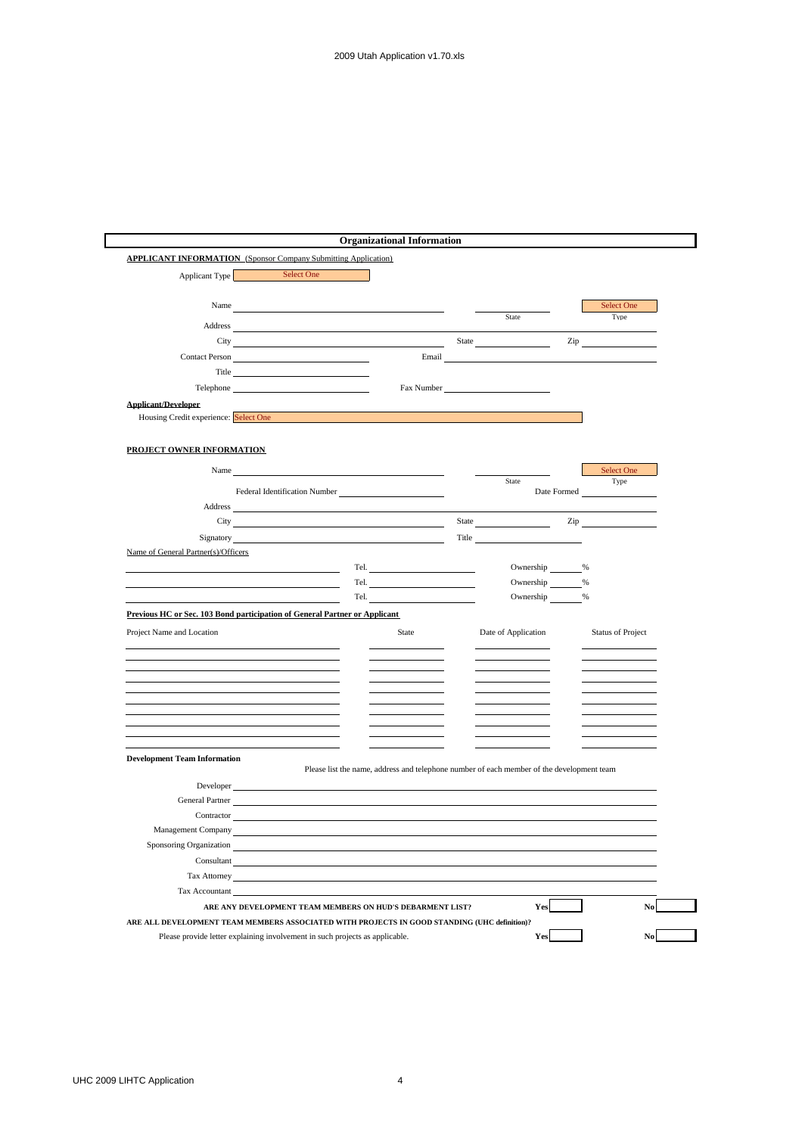| Applicant Type                                                                                                                                                                                                                | Select One                                                                                                                                                                                                                     |                                                                                                                                                                                                                                |       |                      |     |                                                                                                                                                                                                                                |
|-------------------------------------------------------------------------------------------------------------------------------------------------------------------------------------------------------------------------------|--------------------------------------------------------------------------------------------------------------------------------------------------------------------------------------------------------------------------------|--------------------------------------------------------------------------------------------------------------------------------------------------------------------------------------------------------------------------------|-------|----------------------|-----|--------------------------------------------------------------------------------------------------------------------------------------------------------------------------------------------------------------------------------|
|                                                                                                                                                                                                                               |                                                                                                                                                                                                                                |                                                                                                                                                                                                                                |       |                      |     |                                                                                                                                                                                                                                |
|                                                                                                                                                                                                                               | Name was a series of the series of the series of the series of the series of the series of the series of the series of the series of the series of the series of the series of the series of the series of the series of the s |                                                                                                                                                                                                                                |       |                      |     | Select One                                                                                                                                                                                                                     |
| Address                                                                                                                                                                                                                       |                                                                                                                                                                                                                                |                                                                                                                                                                                                                                |       | State                |     | Type                                                                                                                                                                                                                           |
|                                                                                                                                                                                                                               |                                                                                                                                                                                                                                | City with the contract of the contract of the contract of the contract of the contract of the contract of the contract of the contract of the contract of the contract of the contract of the contract of the contract of the  | State |                      | Zip |                                                                                                                                                                                                                                |
| <b>Contact Person</b>                                                                                                                                                                                                         |                                                                                                                                                                                                                                | Email                                                                                                                                                                                                                          |       |                      |     |                                                                                                                                                                                                                                |
|                                                                                                                                                                                                                               |                                                                                                                                                                                                                                |                                                                                                                                                                                                                                |       |                      |     |                                                                                                                                                                                                                                |
|                                                                                                                                                                                                                               | Telephone                                                                                                                                                                                                                      | Fax Number                                                                                                                                                                                                                     |       |                      |     |                                                                                                                                                                                                                                |
| <b>Applicant/Developer</b>                                                                                                                                                                                                    |                                                                                                                                                                                                                                |                                                                                                                                                                                                                                |       |                      |     |                                                                                                                                                                                                                                |
| Housing Credit experience: Select One and the contract of the contract of the contract of the contract of the contract of the contract of the contract of the contract of the contract of the contract of the contract of the |                                                                                                                                                                                                                                |                                                                                                                                                                                                                                |       |                      |     |                                                                                                                                                                                                                                |
|                                                                                                                                                                                                                               |                                                                                                                                                                                                                                |                                                                                                                                                                                                                                |       |                      |     |                                                                                                                                                                                                                                |
| PROJECT OWNER INFORMATION                                                                                                                                                                                                     |                                                                                                                                                                                                                                |                                                                                                                                                                                                                                |       |                      |     |                                                                                                                                                                                                                                |
| Name                                                                                                                                                                                                                          |                                                                                                                                                                                                                                |                                                                                                                                                                                                                                |       |                      |     | Select One                                                                                                                                                                                                                     |
|                                                                                                                                                                                                                               |                                                                                                                                                                                                                                | Federal Identification Number                                                                                                                                                                                                  |       | State<br>Date Formed |     | Type                                                                                                                                                                                                                           |
| Address                                                                                                                                                                                                                       |                                                                                                                                                                                                                                |                                                                                                                                                                                                                                |       |                      |     |                                                                                                                                                                                                                                |
|                                                                                                                                                                                                                               |                                                                                                                                                                                                                                | City of the contract of the contract of the contract of the contract of the contract of the contract of the contract of the contract of the contract of the contract of the contract of the contract of the contract of the co |       | State                |     | Zip and the same state of the state of the state of the state of the state of the state of the state of the state of the state of the state of the state of the state of the state of the state of the state of the state of t |
|                                                                                                                                                                                                                               |                                                                                                                                                                                                                                | Signatory and the state of the state of the state of the state of the state of the state of the state of the state of the state of the state of the state of the state of the state of the state of the state of the state of  |       | <b>Title</b>         |     |                                                                                                                                                                                                                                |
| Name of General Partner(s)/Officers                                                                                                                                                                                           |                                                                                                                                                                                                                                |                                                                                                                                                                                                                                |       |                      |     |                                                                                                                                                                                                                                |
|                                                                                                                                                                                                                               |                                                                                                                                                                                                                                | Tel. The contract of the contract of the contract of the contract of the contract of the contract of the contract of the contract of the contract of the contract of the contract of the contract of the contract of the contr |       | Ownership            | %   |                                                                                                                                                                                                                                |
|                                                                                                                                                                                                                               |                                                                                                                                                                                                                                | Tel.                                                                                                                                                                                                                           |       | Ownership            | %   |                                                                                                                                                                                                                                |
|                                                                                                                                                                                                                               |                                                                                                                                                                                                                                | Tel. The contract of the contract of the contract of the contract of the contract of the contract of the contract of the contract of the contract of the contract of the contract of the contract of the contract of the contr |       | Ownership            | %   |                                                                                                                                                                                                                                |
| Previous HC or Sec. 103 Bond participation of General Partner or Applicant                                                                                                                                                    |                                                                                                                                                                                                                                |                                                                                                                                                                                                                                |       |                      |     |                                                                                                                                                                                                                                |
| Project Name and Location                                                                                                                                                                                                     |                                                                                                                                                                                                                                | State                                                                                                                                                                                                                          |       | Date of Application  |     | <b>Status of Project</b>                                                                                                                                                                                                       |
|                                                                                                                                                                                                                               |                                                                                                                                                                                                                                |                                                                                                                                                                                                                                |       |                      |     |                                                                                                                                                                                                                                |
|                                                                                                                                                                                                                               |                                                                                                                                                                                                                                |                                                                                                                                                                                                                                |       |                      |     |                                                                                                                                                                                                                                |
|                                                                                                                                                                                                                               |                                                                                                                                                                                                                                |                                                                                                                                                                                                                                |       |                      |     |                                                                                                                                                                                                                                |
|                                                                                                                                                                                                                               |                                                                                                                                                                                                                                |                                                                                                                                                                                                                                |       |                      |     |                                                                                                                                                                                                                                |
|                                                                                                                                                                                                                               |                                                                                                                                                                                                                                |                                                                                                                                                                                                                                |       |                      |     |                                                                                                                                                                                                                                |
|                                                                                                                                                                                                                               |                                                                                                                                                                                                                                |                                                                                                                                                                                                                                |       |                      |     |                                                                                                                                                                                                                                |
|                                                                                                                                                                                                                               |                                                                                                                                                                                                                                |                                                                                                                                                                                                                                |       |                      |     |                                                                                                                                                                                                                                |
| <b>Development Team Information</b>                                                                                                                                                                                           |                                                                                                                                                                                                                                | Please list the name, address and telephone number of each member of the development team                                                                                                                                      |       |                      |     |                                                                                                                                                                                                                                |
| Developer                                                                                                                                                                                                                     |                                                                                                                                                                                                                                |                                                                                                                                                                                                                                |       |                      |     |                                                                                                                                                                                                                                |
| General Partner                                                                                                                                                                                                               |                                                                                                                                                                                                                                |                                                                                                                                                                                                                                |       |                      |     |                                                                                                                                                                                                                                |
| Contractor                                                                                                                                                                                                                    |                                                                                                                                                                                                                                |                                                                                                                                                                                                                                |       |                      |     |                                                                                                                                                                                                                                |
| Management Company                                                                                                                                                                                                            |                                                                                                                                                                                                                                |                                                                                                                                                                                                                                |       |                      |     |                                                                                                                                                                                                                                |
| Sponsoring Organization                                                                                                                                                                                                       |                                                                                                                                                                                                                                |                                                                                                                                                                                                                                |       |                      |     |                                                                                                                                                                                                                                |
|                                                                                                                                                                                                                               | $Constant$ <sub><math>-</math></sub>                                                                                                                                                                                           |                                                                                                                                                                                                                                |       |                      |     |                                                                                                                                                                                                                                |
| Tax Attorney                                                                                                                                                                                                                  |                                                                                                                                                                                                                                |                                                                                                                                                                                                                                |       |                      |     |                                                                                                                                                                                                                                |
|                                                                                                                                                                                                                               | Tax Accountant                                                                                                                                                                                                                 |                                                                                                                                                                                                                                |       |                      |     |                                                                                                                                                                                                                                |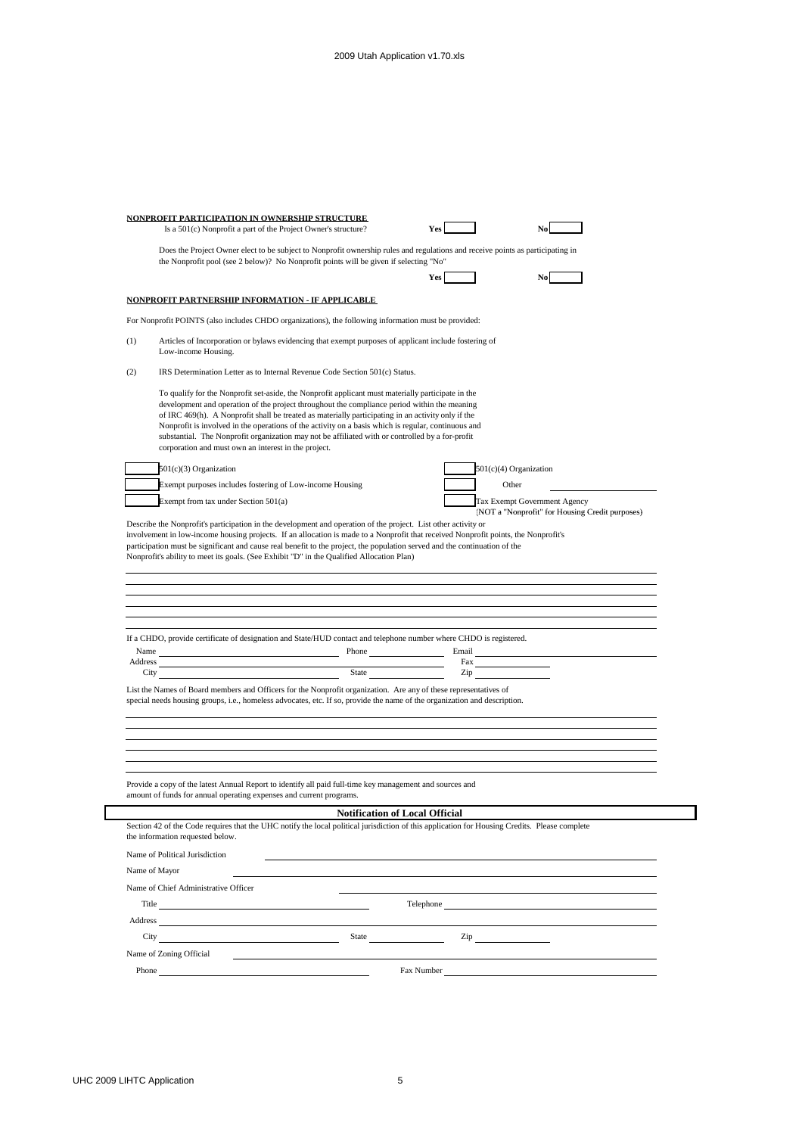|                 | Is a 501(c) Nonprofit a part of the Project Owner's structure?                                                                                                                                                                                                                                                                                                                                                                                                                                                                                                              |                                                                                                                                                                                                                                                               |                                                                                        |
|-----------------|-----------------------------------------------------------------------------------------------------------------------------------------------------------------------------------------------------------------------------------------------------------------------------------------------------------------------------------------------------------------------------------------------------------------------------------------------------------------------------------------------------------------------------------------------------------------------------|---------------------------------------------------------------------------------------------------------------------------------------------------------------------------------------------------------------------------------------------------------------|----------------------------------------------------------------------------------------|
|                 | Does the Project Owner elect to be subject to Nonprofit ownership rules and regulations and receive points as participating in<br>the Nonprofit pool (see 2 below)? No Nonprofit points will be given if selecting "No"                                                                                                                                                                                                                                                                                                                                                     |                                                                                                                                                                                                                                                               |                                                                                        |
|                 |                                                                                                                                                                                                                                                                                                                                                                                                                                                                                                                                                                             | Yes                                                                                                                                                                                                                                                           |                                                                                        |
|                 | NONPROFIT PARTNERSHIP INFORMATION - IF APPLICABLE                                                                                                                                                                                                                                                                                                                                                                                                                                                                                                                           |                                                                                                                                                                                                                                                               |                                                                                        |
|                 | For Nonprofit POINTS (also includes CHDO organizations), the following information must be provided:                                                                                                                                                                                                                                                                                                                                                                                                                                                                        |                                                                                                                                                                                                                                                               |                                                                                        |
| (1)             | Articles of Incorporation or bylaws evidencing that exempt purposes of applicant include fostering of<br>Low-income Housing.                                                                                                                                                                                                                                                                                                                                                                                                                                                |                                                                                                                                                                                                                                                               |                                                                                        |
| (2)             | IRS Determination Letter as to Internal Revenue Code Section 501(c) Status.                                                                                                                                                                                                                                                                                                                                                                                                                                                                                                 |                                                                                                                                                                                                                                                               |                                                                                        |
|                 | To qualify for the Nonprofit set-aside, the Nonprofit applicant must materially participate in the<br>development and operation of the project throughout the compliance period within the meaning<br>of IRC 469(h). A Nonprofit shall be treated as materially participating in an activity only if the<br>Nonprofit is involved in the operations of the activity on a basis which is regular, continuous and<br>substantial. The Nonprofit organization may not be affiliated with or controlled by a for-profit<br>corporation and must own an interest in the project. |                                                                                                                                                                                                                                                               |                                                                                        |
|                 | 501(c)(3) Organization                                                                                                                                                                                                                                                                                                                                                                                                                                                                                                                                                      |                                                                                                                                                                                                                                                               | 501(c)(4) Organization                                                                 |
|                 | Exempt purposes includes fostering of Low-income Housing                                                                                                                                                                                                                                                                                                                                                                                                                                                                                                                    |                                                                                                                                                                                                                                                               | Other                                                                                  |
|                 | Exempt from tax under Section 501(a)                                                                                                                                                                                                                                                                                                                                                                                                                                                                                                                                        |                                                                                                                                                                                                                                                               | <b>Tax Exempt Government Agency</b><br>(NOT a "Nonprofit" for Housing Credit purposes) |
|                 | Nonprofit's ability to meet its goals. (See Exhibit "D" in the Qualified Allocation Plan)                                                                                                                                                                                                                                                                                                                                                                                                                                                                                   |                                                                                                                                                                                                                                                               |                                                                                        |
| Name<br>Address | If a CHDO, provide certificate of designation and State/HUD contact and telephone number where CHDO is registered.<br>City<br>List the Names of Board members and Officers for the Nonprofit organization. Are any of these representatives of<br>special needs housing groups, i.e., homeless advocates, etc. If so, provide the name of the organization and description.                                                                                                                                                                                                 | Phone<br>Email<br>Fax<br>State and the state of the state of the state of the state of the state of the state of the state of the state of the state of the state of the state of the state of the state of the state of the state of the state of the<br>Zip |                                                                                        |
|                 | Provide a copy of the latest Annual Report to identify all paid full-time key management and sources and<br>amount of funds for annual operating expenses and current programs.                                                                                                                                                                                                                                                                                                                                                                                             |                                                                                                                                                                                                                                                               |                                                                                        |
|                 |                                                                                                                                                                                                                                                                                                                                                                                                                                                                                                                                                                             | <b>Notification of Local Official</b>                                                                                                                                                                                                                         |                                                                                        |
|                 | Section 42 of the Code requires that the UHC notify the local political jurisdiction of this application for Housing Credits. Please complete<br>the information requested below.                                                                                                                                                                                                                                                                                                                                                                                           |                                                                                                                                                                                                                                                               |                                                                                        |
|                 | Name of Political Jurisdiction                                                                                                                                                                                                                                                                                                                                                                                                                                                                                                                                              |                                                                                                                                                                                                                                                               |                                                                                        |
|                 | Name of Mayor                                                                                                                                                                                                                                                                                                                                                                                                                                                                                                                                                               |                                                                                                                                                                                                                                                               |                                                                                        |
|                 | Name of Chief Administrative Officer                                                                                                                                                                                                                                                                                                                                                                                                                                                                                                                                        |                                                                                                                                                                                                                                                               |                                                                                        |
|                 | Title                                                                                                                                                                                                                                                                                                                                                                                                                                                                                                                                                                       | Telephone                                                                                                                                                                                                                                                     |                                                                                        |
| Address         |                                                                                                                                                                                                                                                                                                                                                                                                                                                                                                                                                                             |                                                                                                                                                                                                                                                               |                                                                                        |
|                 | City<br>State                                                                                                                                                                                                                                                                                                                                                                                                                                                                                                                                                               | Zip                                                                                                                                                                                                                                                           |                                                                                        |
|                 | Name of Zoning Official                                                                                                                                                                                                                                                                                                                                                                                                                                                                                                                                                     |                                                                                                                                                                                                                                                               |                                                                                        |

┓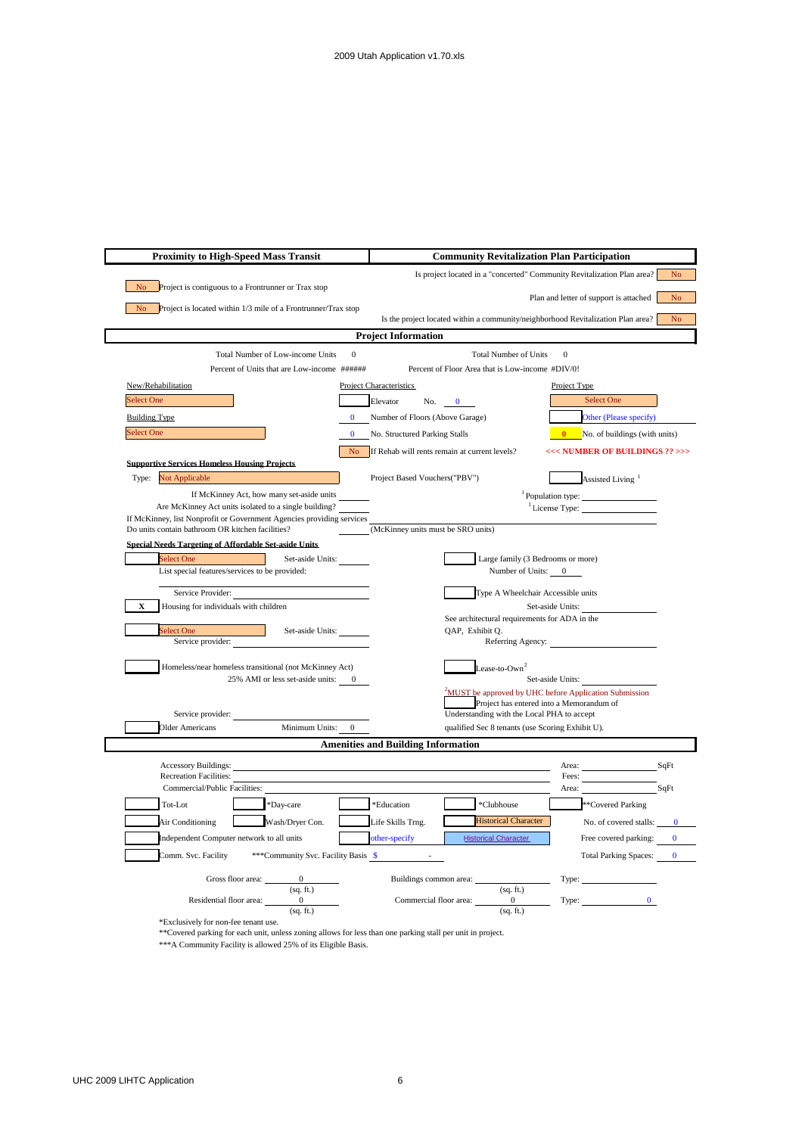| <b>Proximity to High-Speed Mass Transit</b>                                                        | <b>Community Revitalization Plan Participation</b>                                                 |  |  |
|----------------------------------------------------------------------------------------------------|----------------------------------------------------------------------------------------------------|--|--|
|                                                                                                    | Is project located in a "concerted" Community Revitalization Plan area?<br>N <sub>o</sub>          |  |  |
| N <sub>o</sub><br>Project is contiguous to a Frontrunner or Trax stop                              | Plan and letter of support is attached<br>N <sub>o</sub>                                           |  |  |
| Project is located within 1/3 mile of a Frontrunner/Trax stop<br>No and the North States           |                                                                                                    |  |  |
|                                                                                                    | Is the project located within a community/neighborhood Revitalization Plan area?<br>N <sub>o</sub> |  |  |
|                                                                                                    | <b>Project Information</b>                                                                         |  |  |
| Total Number of Low-income Units<br>$\mathbf{0}$<br>Percent of Units that are Low-income ######    | <b>Total Number of Units</b><br>$\mathbf{0}$<br>Percent of Floor Area that is Low-income #DIV/0!   |  |  |
| New/Rehabilitation                                                                                 | <b>Project Characteristics</b><br>Project Type                                                     |  |  |
| Select One                                                                                         | Select One<br>Elevator<br>No.<br>$\mathbf{0}$                                                      |  |  |
| <b>Building Type</b>                                                                               | Number of Floors (Above Garage)<br>Other (Please specify)                                          |  |  |
| <b>Select One</b><br>$\Omega$                                                                      | <b>0</b> No. of buildings (with units)<br>No. Structured Parking Stalls                            |  |  |
|                                                                                                    | No If Rehab will rents remain at current levels?<br><<< NUMBER OF BUILDINGS ?? >>>                 |  |  |
| <b>Supportive Services Homeless Housing Projects</b>                                               |                                                                                                    |  |  |
| Type: Not Applicable                                                                               | Project Based Vouchers("PBV")<br>Assisted Living <sup>1</sup>                                      |  |  |
| If McKinney Act, how many set-aside units<br>Are McKinney Act units isolated to a single building? | <sup>1</sup> Population type:<br>$\frac{1}{2}$ License Type:                                       |  |  |
| If McKinney, list Nonprofit or Government Agencies providing services                              |                                                                                                    |  |  |
| Do units contain bathroom OR kitchen facilities?                                                   | (McKinney units must be SRO units)                                                                 |  |  |
| <b>Snecial Needs Targeting of Affordable Set-aside Units</b><br>Select One                         | Large family (3 Bedrooms or more)                                                                  |  |  |
| Set-aside Units:<br>List special features/services to be provided:                                 | Number of Units: 0                                                                                 |  |  |
|                                                                                                    | Type A Wheelchair Accessible units                                                                 |  |  |
| Service Provider:<br>Housing for individuals with children<br>X                                    | Set-aside Units:                                                                                   |  |  |
|                                                                                                    | See architectural requirements for ADA in the                                                      |  |  |
| Select One<br>Set-aside Units:<br>Service provider:                                                | QAP, Exhibit Q.<br>Referring Agency:                                                               |  |  |
|                                                                                                    |                                                                                                    |  |  |
| Homeless/near homeless transitional (not McKinney Act)                                             | Lease-to-Own <sup>2</sup>                                                                          |  |  |
| 25% AMI or less set-aside units: 0                                                                 | Set-aside Units:<br><sup>2</sup> MUST be approved by UHC before Application Submission             |  |  |
|                                                                                                    | Project has entered into a Memorandum of                                                           |  |  |
| Service provider:<br><b>Older Americans</b><br>$\mathbf{0}$<br>Minimum Units:                      | Understanding with the Local PHA to accept<br>qualified Sec 8 tenants (use Scoring Exhibit U).     |  |  |
|                                                                                                    | <b>Amenities and Building Information</b>                                                          |  |  |
|                                                                                                    |                                                                                                    |  |  |
| <b>Accessory Buildings:</b><br><b>Recreation Facilities:</b>                                       | SqFt<br>Area:<br>Fees:                                                                             |  |  |
| Commercial/Public Facilities:                                                                      | Area:<br>SqFt                                                                                      |  |  |
| Tot-Lot<br>*Day-care                                                                               | *Education<br>*Clubhouse<br>**Covered Parking                                                      |  |  |
| Wash/Dryer Con.<br>Air Conditioning                                                                | <b>Historical Character</b><br>Life Skills Trng.<br>No. of covered stalls:<br>$\Omega$             |  |  |
| Independent Computer network to all units                                                          | other-specify<br><b>Historical Character</b><br>Free covered parking:<br>$\bf{0}$                  |  |  |
| Comm. Svc. Facility<br>***Community Svc. Facility Basis \$                                         | <b>Total Parking Spaces:</b><br>$\mathbf{0}$                                                       |  |  |
| Gross floor area:<br>$\overline{0}$                                                                | Buildings common area:                                                                             |  |  |
| (sq. ft.)                                                                                          | (sq. ft.)<br>$\overline{0}$<br>$\mathbf{0}$                                                        |  |  |
| Residential floor area:<br>$\mathbf{0}$<br>(sq. ft.)                                               | Type:<br>Commercial floor area:<br>(sq. ft.)                                                       |  |  |

\*Exclusively for non-fee tenant use.

\*\*Covered parking for each unit, unless zoning allows for less than one parking stall per unit in project.

\*\*\*A Community Facility is allowed 25% of its Eligible Basis.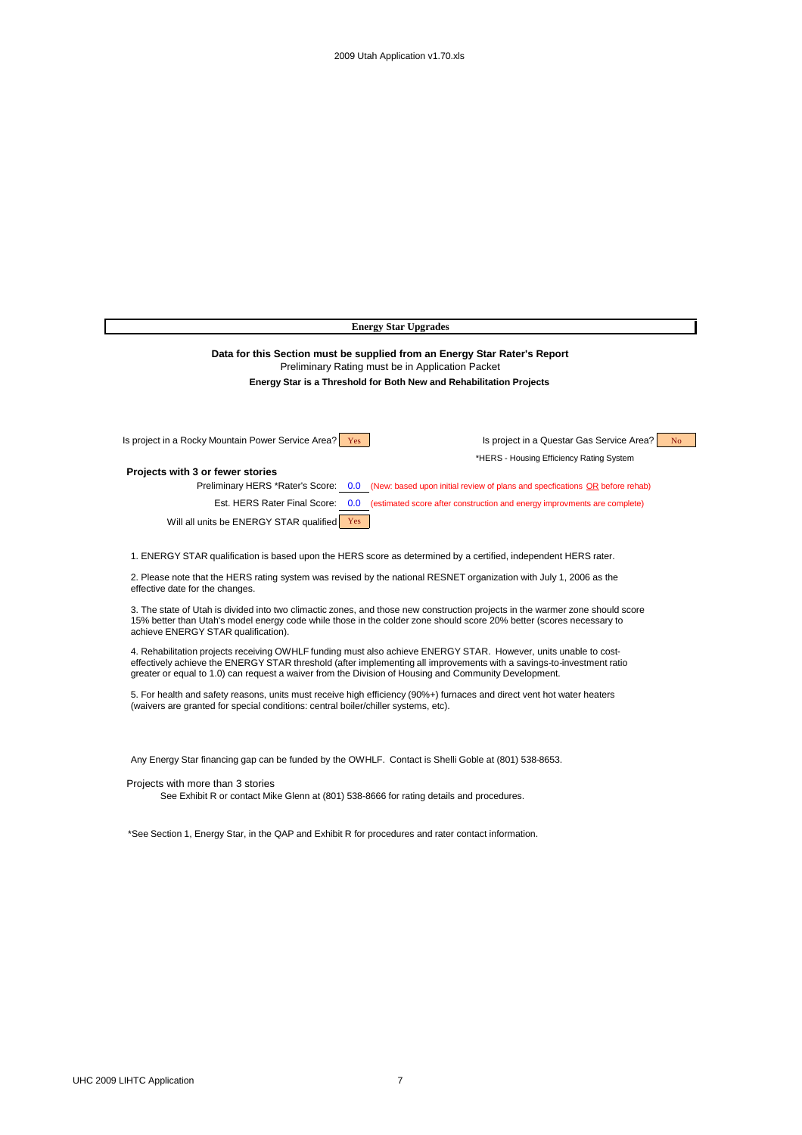| <b>Energy Star Upgrades</b>                                                                                                                                                                                                                                                                                                                                                                                                                                                                                                                                                                                                                                                                                                                                                                                                                                                                                                                                                                                                                               |                                                                                                                  |  |  |  |  |  |
|-----------------------------------------------------------------------------------------------------------------------------------------------------------------------------------------------------------------------------------------------------------------------------------------------------------------------------------------------------------------------------------------------------------------------------------------------------------------------------------------------------------------------------------------------------------------------------------------------------------------------------------------------------------------------------------------------------------------------------------------------------------------------------------------------------------------------------------------------------------------------------------------------------------------------------------------------------------------------------------------------------------------------------------------------------------|------------------------------------------------------------------------------------------------------------------|--|--|--|--|--|
| Data for this Section must be supplied from an Energy Star Rater's Report<br>Preliminary Rating must be in Application Packet<br>Energy Star is a Threshold for Both New and Rehabilitation Projects                                                                                                                                                                                                                                                                                                                                                                                                                                                                                                                                                                                                                                                                                                                                                                                                                                                      |                                                                                                                  |  |  |  |  |  |
| Is project in a Rocky Mountain Power Service Area?   Yes                                                                                                                                                                                                                                                                                                                                                                                                                                                                                                                                                                                                                                                                                                                                                                                                                                                                                                                                                                                                  | Is project in a Questar Gas Service Area?<br>N <sub>o</sub><br>*HERS - Housing Efficiency Rating System          |  |  |  |  |  |
| Projects with 3 or fewer stories                                                                                                                                                                                                                                                                                                                                                                                                                                                                                                                                                                                                                                                                                                                                                                                                                                                                                                                                                                                                                          |                                                                                                                  |  |  |  |  |  |
|                                                                                                                                                                                                                                                                                                                                                                                                                                                                                                                                                                                                                                                                                                                                                                                                                                                                                                                                                                                                                                                           | Preliminary HERS *Rater's Score: 0.0 (New: based upon initial review of plans and specfications OR before rehab) |  |  |  |  |  |
| Est. HERS Rater Final Score:                                                                                                                                                                                                                                                                                                                                                                                                                                                                                                                                                                                                                                                                                                                                                                                                                                                                                                                                                                                                                              | 0.0 (estimated score after construction and energy improvments are complete)                                     |  |  |  |  |  |
| Will all units be ENERGY STAR qualified Yes                                                                                                                                                                                                                                                                                                                                                                                                                                                                                                                                                                                                                                                                                                                                                                                                                                                                                                                                                                                                               |                                                                                                                  |  |  |  |  |  |
| 1. ENERGY STAR qualification is based upon the HERS score as determined by a certified, independent HERS rater.<br>2. Please note that the HERS rating system was revised by the national RESNET organization with July 1, 2006 as the<br>effective date for the changes.<br>3. The state of Utah is divided into two climactic zones, and those new construction projects in the warmer zone should score<br>15% better than Utah's model energy code while those in the colder zone should score 20% better (scores necessary to<br>achieve ENERGY STAR qualification).<br>4. Rehabilitation projects receiving OWHLF funding must also achieve ENERGY STAR. However, units unable to cost-<br>effectively achieve the ENERGY STAR threshold (after implementing all improvements with a savings-to-investment ratio<br>greater or equal to 1.0) can request a waiver from the Division of Housing and Community Development.<br>5. For health and safety reasons, units must receive high efficiency (90%+) furnaces and direct vent hot water heaters |                                                                                                                  |  |  |  |  |  |
| (waivers are granted for special conditions: central boiler/chiller systems, etc).<br>Any Energy Star financing gap can be funded by the OWHLF. Contact is Shelli Goble at (801) 538-8653.<br>Projects with more than 3 stories<br>See Exhibit R or contact Mike Glenn at (801) 538-8666 for rating details and procedures.                                                                                                                                                                                                                                                                                                                                                                                                                                                                                                                                                                                                                                                                                                                               |                                                                                                                  |  |  |  |  |  |

\*See Section 1, Energy Star, in the QAP and Exhibit R for procedures and rater contact information.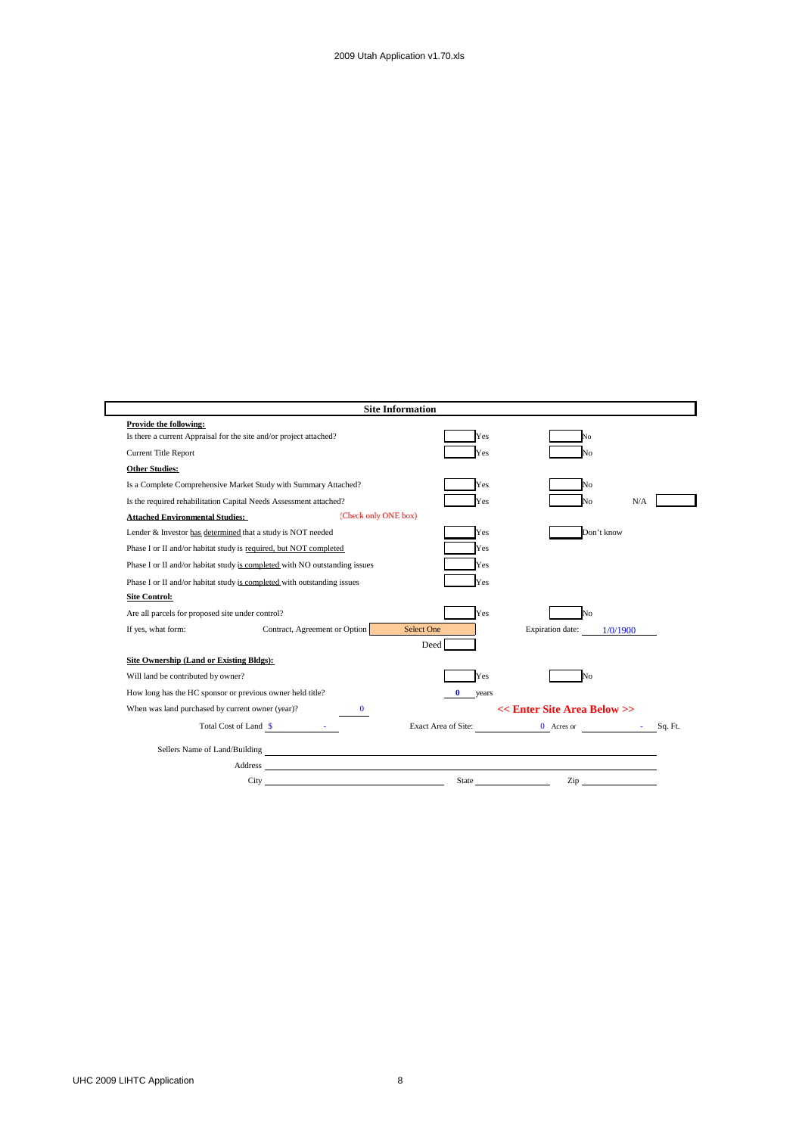|                                                                         |                                                                            | <b>Site Information</b> |                                        |          |
|-------------------------------------------------------------------------|----------------------------------------------------------------------------|-------------------------|----------------------------------------|----------|
| Provide the following:                                                  |                                                                            |                         |                                        |          |
| Is there a current Appraisal for the site and/or project attached?      |                                                                            | Yes                     | No                                     |          |
| <b>Current Title Report</b>                                             |                                                                            | Yes                     | No                                     |          |
| <b>Other Studies:</b>                                                   |                                                                            |                         |                                        |          |
|                                                                         | Is a Complete Comprehensive Market Study with Summary Attached?            | Yes                     | No                                     |          |
| Is the required rehabilitation Capital Needs Assessment attached?       |                                                                            | Yes                     | Nο                                     | N/A      |
| <b>Attached Environmental Studies:</b>                                  | (Check only ONE box)                                                       |                         |                                        |          |
| Lender & Investor has determined that a study is NOT needed             |                                                                            | Yes                     | Don't know                             |          |
| Phase I or II and/or habitat study is required, but NOT completed       |                                                                            | Yes                     |                                        |          |
|                                                                         | Phase I or II and/or habitat study is completed with NO outstanding issues | Yes                     |                                        |          |
| Phase I or II and/or habitat study is completed with outstanding issues |                                                                            | Yes                     |                                        |          |
| <b>Site Control:</b>                                                    |                                                                            |                         |                                        |          |
| Are all parcels for proposed site under control?                        |                                                                            | Yes                     | No                                     |          |
| If yes, what form:                                                      | Contract, Agreement or Option                                              | <b>Select One</b>       | Expiration date:                       | 1/0/1900 |
|                                                                         |                                                                            | <b>Deed</b>             |                                        |          |
| Site Ownership (Land or Existing Bldgs):                                |                                                                            |                         |                                        |          |
| Will land be contributed by owner?                                      |                                                                            | Yes                     | No                                     |          |
| How long has the HC sponsor or previous owner held title?               |                                                                            | 0<br>years              |                                        |          |
| When was land purchased by current owner (year)?                        | 0                                                                          |                         | << Enter Site Area Below >>            |          |
|                                                                         | Total Cost of Land \$                                                      |                         | Exact Area of Site: 0 Acres or 5q. Ft. |          |
|                                                                         | Sellers Name of Land/Building<br><u>Conservation</u>                       |                         |                                        |          |
|                                                                         |                                                                            |                         |                                        |          |
|                                                                         | City                                                                       | State                   | Zip                                    |          |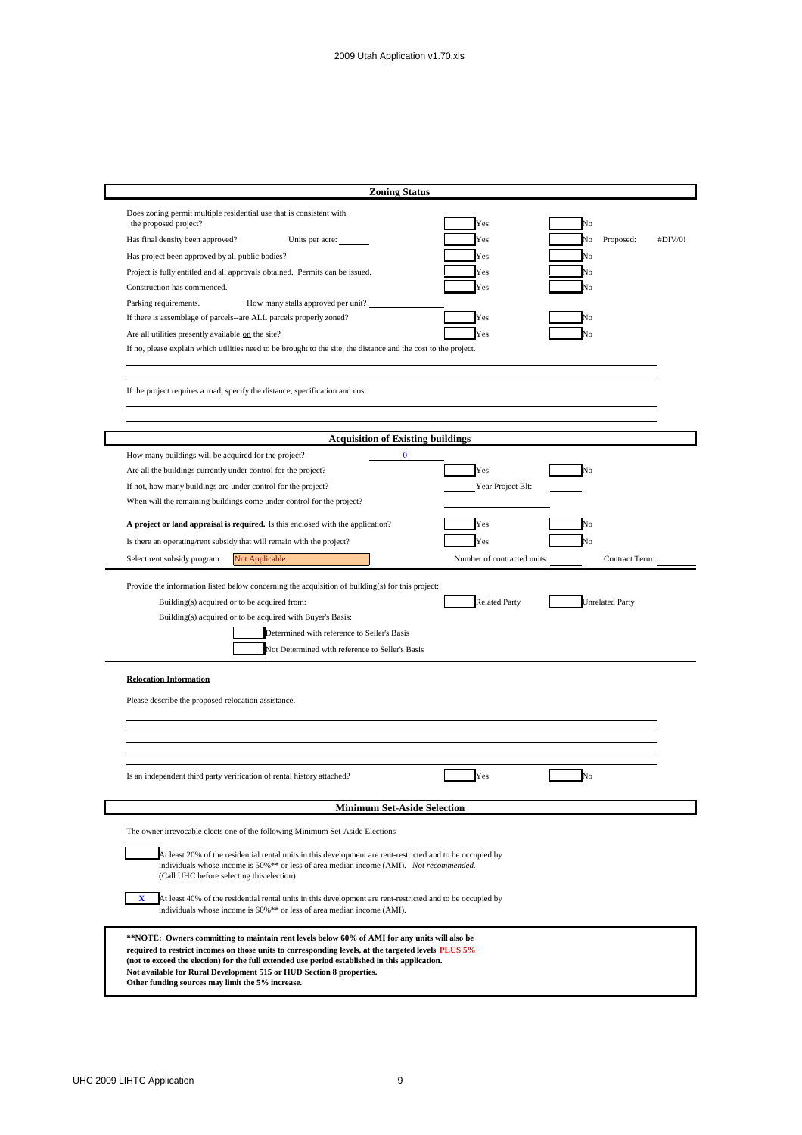| <b>Zoning Status</b>                                                                                                                                                                                                                                                                                                                                                                                                                                                                                                                                                                                                                                                                                                                                                                                                                                                                                                                                                   |                                                                                               |                                                    |
|------------------------------------------------------------------------------------------------------------------------------------------------------------------------------------------------------------------------------------------------------------------------------------------------------------------------------------------------------------------------------------------------------------------------------------------------------------------------------------------------------------------------------------------------------------------------------------------------------------------------------------------------------------------------------------------------------------------------------------------------------------------------------------------------------------------------------------------------------------------------------------------------------------------------------------------------------------------------|-----------------------------------------------------------------------------------------------|----------------------------------------------------|
| Does zoning permit multiple residential use that is consistent with<br>the proposed project?<br>Has final density been approved?<br>Units per acre:<br>Has project been approved by all public bodies?<br>Project is fully entitled and all approvals obtained. Permits can be issued.<br>Construction has commenced.<br>Parking requirements.<br>How many stalls approved per unit?<br>If there is assemblage of parcels--are ALL parcels properly zoned?<br>Are all utilities presently available on the site?<br>If no, please explain which utilities need to be brought to the site, the distance and the cost to the project.                                                                                                                                                                                                                                                                                                                                    | Yes<br>Yes<br>Yes<br>Yes<br>Yes<br>Yes<br>Yes                                                 | No<br>Proposed:<br>No<br>#DIV/0!<br>No<br>No<br>Vо |
| If the project requires a road, specify the distance, specification and cost.                                                                                                                                                                                                                                                                                                                                                                                                                                                                                                                                                                                                                                                                                                                                                                                                                                                                                          |                                                                                               |                                                    |
|                                                                                                                                                                                                                                                                                                                                                                                                                                                                                                                                                                                                                                                                                                                                                                                                                                                                                                                                                                        |                                                                                               |                                                    |
| <b>Acquisition of Existing buildings</b>                                                                                                                                                                                                                                                                                                                                                                                                                                                                                                                                                                                                                                                                                                                                                                                                                                                                                                                               |                                                                                               |                                                    |
| How many buildings will be acquired for the project?<br>$\bf{0}$<br>Are all the buildings currently under control for the project?<br>If not, how many buildings are under control for the project?<br>When will the remaining buildings come under control for the project?<br>A project or land appraisal is required. Is this enclosed with the application?<br>Is there an operating/rent subsidy that will remain with the project?<br>Not Applicable<br>Select rent subsidy program<br>Provide the information listed below concerning the acquisition of building(s) for this project:<br>Building(s) acquired or to be acquired from:<br>Building(s) acquired or to be acquired with Buyer's Basis:<br>Determined with reference to Seller's Basis<br>Not Determined with reference to Seller's Basis<br><b>Relocation Information</b>                                                                                                                         | Yes<br>Year Project Blt:<br>Yes<br>Yes<br>Number of contracted units:<br><b>Related Party</b> | No<br>No<br>Contract Term:<br>Unrelated Party      |
| Please describe the proposed relocation assistance.                                                                                                                                                                                                                                                                                                                                                                                                                                                                                                                                                                                                                                                                                                                                                                                                                                                                                                                    |                                                                                               |                                                    |
| Is an independent third party verification of rental history attached?                                                                                                                                                                                                                                                                                                                                                                                                                                                                                                                                                                                                                                                                                                                                                                                                                                                                                                 | Yes                                                                                           | No                                                 |
| <b>Minimum Set-Aside Selection</b>                                                                                                                                                                                                                                                                                                                                                                                                                                                                                                                                                                                                                                                                                                                                                                                                                                                                                                                                     |                                                                                               |                                                    |
| The owner irrevocable elects one of the following Minimum Set-Aside Elections<br>At least 20% of the residential rental units in this development are rent-restricted and to be occupied by<br>individuals whose income is 50%** or less of area median income (AMI). Not recommended.<br>(Call UHC before selecting this election)<br>At least 40% of the residential rental units in this development are rent-restricted and to be occupied by<br>X<br>individuals whose income is 60%** or less of area median income (AMI).<br>**NOTE: Owners committing to maintain rent levels below 60% of AMI for any units will also be<br>required to restrict incomes on those units to corresponding levels, at the targeted levels PLUS 5%<br>(not to exceed the election) for the full extended use period established in this application.<br>Not available for Rural Development 515 or HUD Section 8 properties.<br>Other funding sources may limit the 5% increase. |                                                                                               |                                                    |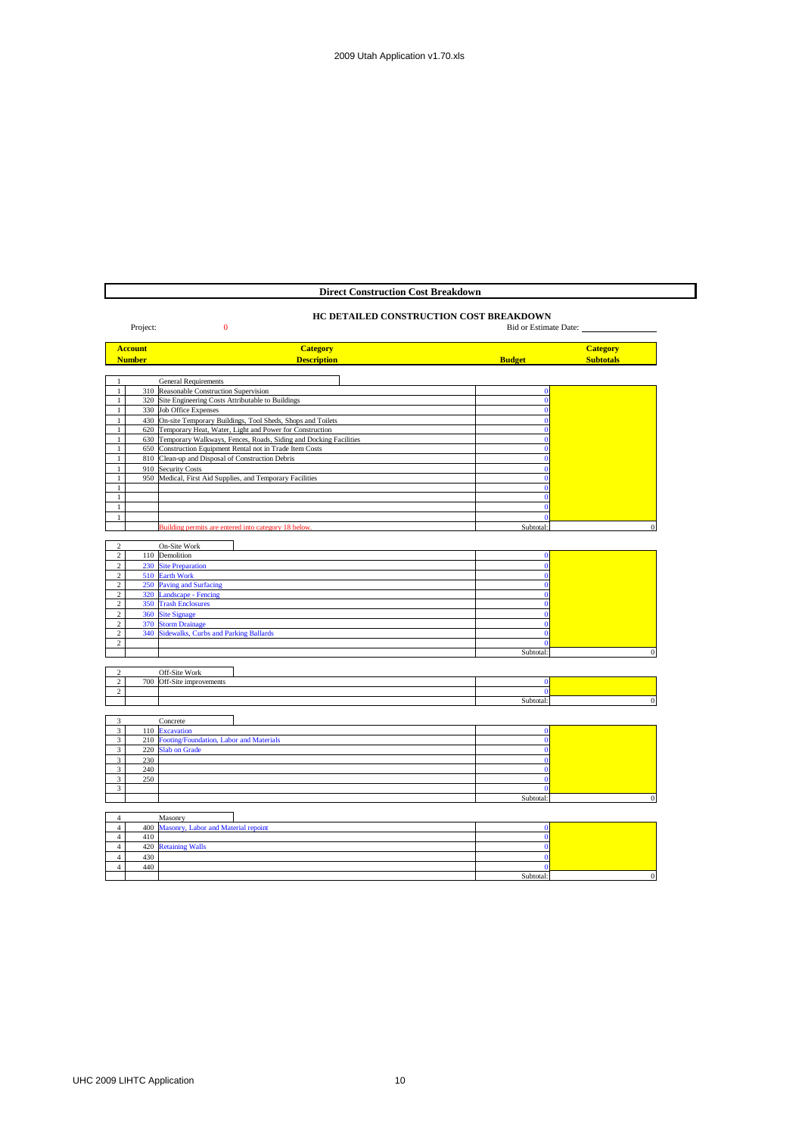### **Direct Construction Cost Breakdown**

# **HC DETAILED CONSTRUCTION COST BREAKDOWN**

# Project: 0 Bid or Estimate Date: 0 Bid or Estimate Date: 0 Bid or Estimate Date:

|                | <b>Account</b> | <b>Category</b>                                                      |                | <b>Category</b>  |
|----------------|----------------|----------------------------------------------------------------------|----------------|------------------|
|                | <b>Number</b>  | <b>Description</b>                                                   | <b>Budget</b>  | <b>Subtotals</b> |
|                |                |                                                                      |                |                  |
| 1              |                | <b>General Requirements</b>                                          |                |                  |
| $1\,$          |                | 310 Reasonable Construction Supervision                              | $\Omega$       |                  |
| $\mathbf{1}$   |                | 320 Site Engineering Costs Attributable to Buildings                 | $\mathbf{0}$   |                  |
| $\mathbf{1}$   |                | 330 Job Office Expenses                                              | $\Omega$       |                  |
| $\mathbf{1}$   |                | 430 On-site Temporary Buildings, Tool Sheds, Shops and Toilets       |                |                  |
| $\mathbf{1}$   |                | 620 Temporary Heat, Water, Light and Power for Construction          |                |                  |
| $\mathbf{1}$   |                | 630 Temporary Walkways, Fences, Roads, Siding and Docking Facilities |                |                  |
| $\mathbf{1}$   | 650            | Construction Equipment Rental not in Trade Item Costs                |                |                  |
| $\mathbf{1}$   |                | 810 Clean-up and Disposal of Construction Debris                     |                |                  |
| 1              |                | 910 Security Costs                                                   |                |                  |
| $\mathbf{1}$   |                | 950 Medical, First Aid Supplies, and Temporary Facilities            |                |                  |
| $\mathbf{1}$   |                |                                                                      |                |                  |
| $\mathbf{1}$   |                |                                                                      |                |                  |
| $\mathbf{1}$   |                |                                                                      |                |                  |
| 1              |                |                                                                      |                |                  |
|                |                | Building permits are entered into category 18 below.                 | Subtotal:      | $\mathbf{0}$     |
|                |                |                                                                      |                |                  |
| $\overline{c}$ |                | On-Site Work                                                         |                |                  |
| $\overline{2}$ |                | 110 Demolition                                                       | $\mathbf{0}$   |                  |
| $\overline{c}$ |                | 230 Site Preparation                                                 | Ō              |                  |
| $\overline{c}$ |                | 510 Earth Work                                                       |                |                  |
| $\overline{c}$ |                | 250 Paving and Surfacing                                             |                |                  |
| $\,2\,$        | 320            | <b>Landscape - Fencing</b>                                           |                |                  |
| $\overline{2}$ | 350            | <b>Trash Enclosures</b>                                              |                |                  |
| $\sqrt{2}$     |                | 360 Site Signage                                                     |                |                  |
| $\overline{c}$ |                | 370 Storm Drainage                                                   | $\overline{0}$ |                  |
| $\overline{c}$ | 340            | <b>Sidewalks, Curbs and Parking Ballards</b>                         | $\overline{0}$ |                  |
| 2              |                |                                                                      | $\mathbf{0}$   |                  |
|                |                |                                                                      | Subtotal:      | $\mathbf{0}$     |
|                |                |                                                                      |                |                  |
| $\overline{c}$ |                | Off-Site Work                                                        |                |                  |
| $\overline{2}$ | 700            | Off-Site improvements                                                | $\bf{0}$       |                  |
| $\overline{c}$ |                |                                                                      | $\mathbf{0}$   |                  |
|                |                |                                                                      | Subtotal:      | $\Omega$         |
|                |                |                                                                      |                |                  |
| 3              |                | Concrete                                                             |                |                  |
| $\overline{3}$ | 110            | <b>Excavation</b>                                                    | $\mathbf{0}$   |                  |
| 3              | 210            | Footing/Foundation, Labor and Materials                              | $\Omega$       |                  |
| $\mathbf{3}$   | 220            | <b>Slab on Grade</b>                                                 | $\overline{0}$ |                  |
| $\overline{3}$ | 230            |                                                                      |                |                  |
| $\overline{3}$ | 240            |                                                                      | $\mathbf{0}$   |                  |
| $\overline{3}$ | 250            |                                                                      | $\mathbf{0}$   |                  |
| 3              |                |                                                                      | $\mathbf{0}$   |                  |
|                |                |                                                                      | Subtotal:      | $\bf{0}$         |
|                |                |                                                                      |                |                  |
| $\overline{4}$ |                | Masonry                                                              |                |                  |
| $\overline{4}$ |                | 400 Masonry Labor and Material repoint                               | $\Omega$       |                  |

|     | 400 Masonry, Labor and Material repoint |           |  |
|-----|-----------------------------------------|-----------|--|
| 410 |                                         |           |  |
|     | 420 Retaining Walls                     |           |  |
| 430 |                                         |           |  |
| 440 |                                         |           |  |
|     |                                         | Subtotal: |  |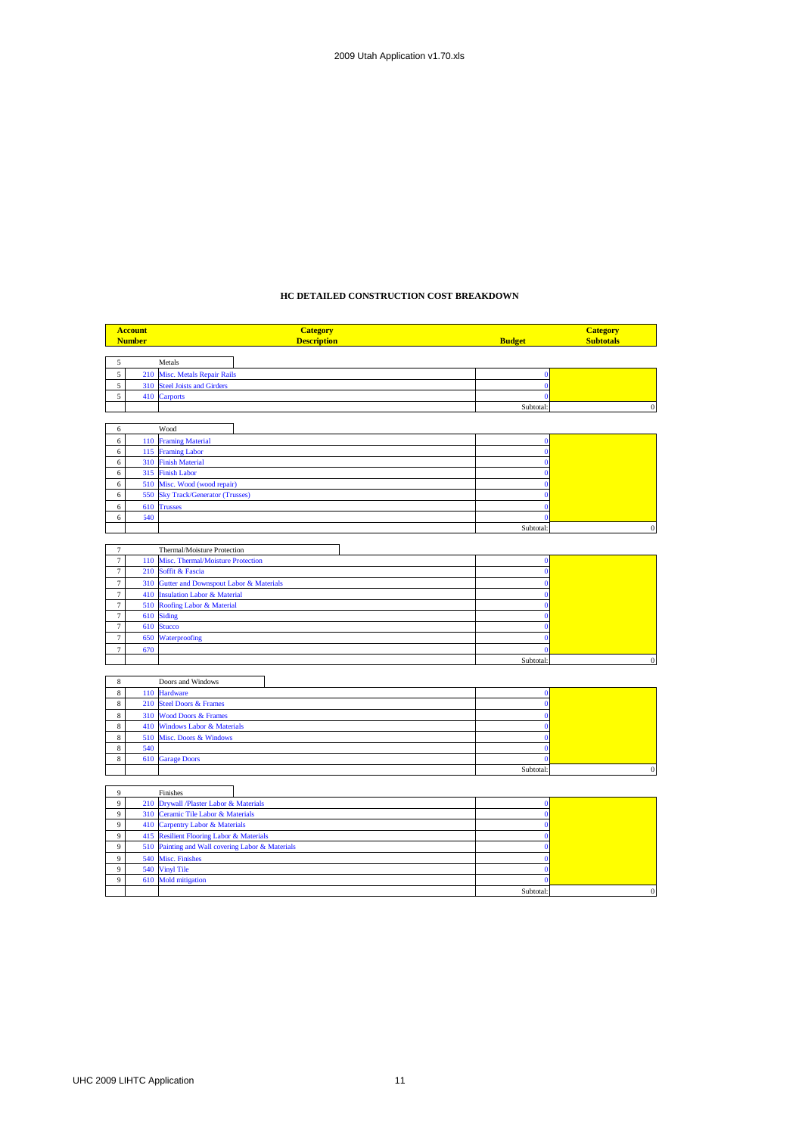### **HC DETAILED CONSTRUCTION COST BREAKDOWN**

|                          | <b>Account</b> | <b>Category</b>                                              |                              | <b>Category</b>  |
|--------------------------|----------------|--------------------------------------------------------------|------------------------------|------------------|
|                          | <b>Number</b>  | <b>Description</b>                                           | <b>Budget</b>                | <b>Subtotals</b> |
|                          |                |                                                              |                              |                  |
| 5<br>5                   |                | Metals                                                       |                              |                  |
| $\sqrt{5}$               | 210<br>310     | Misc. Metals Repair Rails<br><b>Steel Joists and Girders</b> | $\bf{0}$<br>$\mathbf{0}$     |                  |
| 5                        |                | 410 Carports                                                 | $\Omega$                     |                  |
|                          |                |                                                              | Subtotal:                    | $\overline{0}$   |
|                          |                |                                                              |                              |                  |
| 6                        |                | Wood                                                         |                              |                  |
| $\epsilon$               | 110            | <b>Framing Material</b>                                      | $\mathbf{0}$                 |                  |
| $\epsilon$               | 115            | <b>Framing Labor</b>                                         | $\mathbf{0}$                 |                  |
| 6                        | 310            | <b>Finish Material</b>                                       | $\mathbf{0}$                 |                  |
| 6<br>6                   | 315<br>510     | <b>Finish Labor</b><br>Misc. Wood (wood repair)              | $\mathbf{0}$<br>$\mathbf{0}$ |                  |
| $\epsilon$               | 550            | <b>Sky Track/Generator (Trusses)</b>                         | $\Omega$                     |                  |
| 6                        | 610            | <b>Trusses</b>                                               | $\Omega$                     |                  |
| 6                        | 640            |                                                              | $\mathbf{0}$                 |                  |
|                          |                |                                                              | Subtotal:                    | $\Omega$         |
|                          |                |                                                              |                              |                  |
| $\tau$                   |                | Thermal/Moisture Protection                                  |                              |                  |
| $\tau$                   | 110            | Misc. Thermal/Moisture Protection                            | $\bf{0}$                     |                  |
| $\tau$                   | 210            | Soffit & Fascia                                              | $\mathbf{0}$                 |                  |
| $\tau$                   | 310            | Gutter and Downspout Labor & Materials                       | $\Omega$                     |                  |
| $\overline{7}$           | 410            | <b>Insulation Labor &amp; Material</b>                       | $\mathbf{0}$                 |                  |
| $\overline{7}$           | 510            | Roofing Labor & Material                                     | $\mathbf{0}$                 |                  |
| $\tau$                   | 610            | <b>Siding</b>                                                | $\Omega$                     |                  |
| $\tau$                   | 610            | <b>Stucco</b>                                                | $\Omega$                     |                  |
| $\tau$<br>$\overline{7}$ | 650<br>670     | Waterproofing                                                | $\mathbf{0}$<br>$\Omega$     |                  |
|                          |                |                                                              | Subtotal:                    | $\boldsymbol{0}$ |
|                          |                |                                                              |                              |                  |
| 8                        |                | Doors and Windows                                            |                              |                  |
| 8                        | 110            | Hardware                                                     | $\mathbf{0}$                 |                  |
| $\,$ 8 $\,$              | 210            | <b>Steel Doors &amp; Frames</b>                              | $\mathbf{0}$                 |                  |
| $\,$ 8 $\,$              | 310            | <b>Wood Doors &amp; Frames</b>                               | $\Omega$                     |                  |
| $\,$ 8 $\,$              | 410            | <b>Windows Labor &amp; Materials</b>                         | $\Omega$                     |                  |
| $\,$ 8 $\,$              | 510            | Misc. Doors & Windows                                        | $\Omega$                     |                  |
| $\,$ 8 $\,$              | 540            |                                                              | $\mathbf{0}$                 |                  |
| 8                        | 610            | <b>Garage Doors</b>                                          | $\mathbf{0}$                 |                  |
|                          |                |                                                              | Subtotal:                    | $\overline{0}$   |
|                          |                |                                                              |                              |                  |
| $\overline{9}$<br>9      | 210            | Finishes<br>Drywall /Plaster Labor & Materials               | $\bf{0}$                     |                  |
| $\overline{9}$           | 310            | Ceramic Tile Labor & Materials                               | $\mathbf{0}$                 |                  |
| 9                        | 410            | <b>Carpentry Labor &amp; Materials</b>                       | $\Omega$                     |                  |
| $\overline{9}$           | 415            | <b>Resilient Flooring Labor &amp; Materials</b>              | $\Omega$                     |                  |
| 9                        |                | 510 Painting and Wall covering Labor & Materials             | $\bf{0}$                     |                  |
|                          |                |                                                              |                              |                  |

9 540 Misc. Finishes 0 9 540 Vinyl Tile 0 610 Mold mitigation 0

Subtotal: 0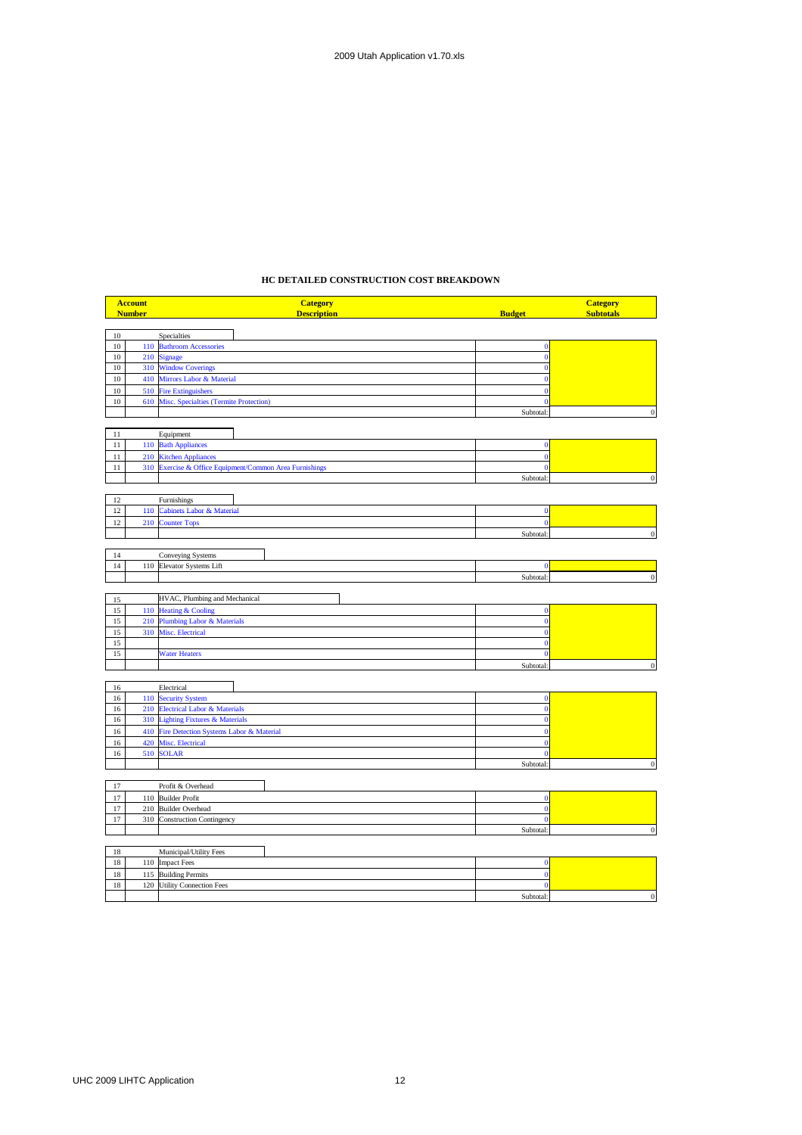### **HC DETAILED CONSTRUCTION COST BREAKDOWN**

|        | <b>Account</b> | <b>Category</b>                                         |                | <b>Category</b>  |
|--------|----------------|---------------------------------------------------------|----------------|------------------|
|        | <b>Number</b>  | <b>Description</b>                                      | <b>Budget</b>  | <b>Subtotals</b> |
|        |                |                                                         |                |                  |
| 10     |                | Specialties                                             |                |                  |
| 10     |                | 110 Bathroom Accessories                                | $\mathbf{0}$   |                  |
| 10     | 210            | <b>Signage</b>                                          | $\mathbf{0}$   |                  |
| $10\,$ | 310            | <b>Window Coverings</b>                                 | $\mathbf{0}$   |                  |
| 10     |                | 410 Mirrors Labor & Material                            | $\mathbf{0}$   |                  |
| 10     |                | 510 Fire Extinguishers                                  |                |                  |
| 10     |                | 610 Misc. Specialties (Termite Protection)              | Ō              |                  |
|        |                |                                                         | Subtotal:      | $\bf{0}$         |
|        |                |                                                         |                |                  |
| 11     |                | Equipment                                               |                |                  |
| $11\,$ |                | 110 Bath Appliances                                     | $\bf{0}$       |                  |
| 11     |                | 210 Kitchen Appliances                                  | Ō              |                  |
| $11\,$ |                | 310 Exercise & Office Equipment/Common Area Furnishings | $\overline{0}$ |                  |
|        |                |                                                         | Subtotal:      | $\bf{0}$         |
|        |                |                                                         |                |                  |
| 12     |                | Furnishings                                             |                |                  |
| 12     | 110            | <b>Cabinets Labor &amp; Material</b>                    | $\bf{0}$       |                  |
| 12     | 210            | <b>Counter Tops</b>                                     | $\overline{0}$ |                  |
|        |                |                                                         | Subtotal:      | $\mathbf{0}$     |
|        |                |                                                         |                |                  |
| 14     |                | Conveying Systems                                       |                |                  |
| 14     | 110            |                                                         | Ō              |                  |
|        |                | Elevator Systems Lift                                   | Subtotal:      | $\mathbf 0$      |
|        |                |                                                         |                |                  |
|        |                |                                                         |                |                  |
| 15     |                | HVAC, Plumbing and Mechanical                           |                |                  |
| 15     |                | 110 Heating & Cooling                                   | $\mathbf{0}$   |                  |
| 15     | 210            | <b>Plumbing Labor &amp; Materials</b>                   | $\bf{0}$       |                  |
| 15     | 310            | Misc. Electrical                                        | $\overline{0}$ |                  |
| 15     |                |                                                         | $\mathbf{0}$   |                  |
| 15     |                | <b>Water Heaters</b>                                    | $\overline{0}$ |                  |
|        |                |                                                         | Subtotal:      | $\Omega$         |
|        |                |                                                         |                |                  |
| 16     |                | Electrical                                              |                |                  |
| 16     |                | 110 Security System                                     | $\bf{0}$       |                  |
| 16     |                | 210 Electrical Labor & Materials                        | $\mathbf{0}$   |                  |
| 16     | 310            | <b>Lighting Fixtures &amp; Materials</b>                | $\overline{0}$ |                  |
| 16     | 410            | Fire Detection Systems Labor & Material                 |                |                  |
| 16     | 420            | Misc. Electrical                                        | $\Omega$       |                  |
| 16     |                | 510 SOLAR                                               | $\mathbf{0}$   |                  |
|        |                |                                                         | Subtotal:      | $\mathbf{0}$     |
|        |                |                                                         |                |                  |
| $17\,$ |                | Profit & Overhead                                       |                |                  |
| 17     |                | 110 Builder Profit                                      | $\mathbf{0}$   |                  |
| 17     |                | 210 Builder Overhead                                    | $\mathbf{0}$   |                  |
| $17\,$ |                | 310 Construction Contingency                            | $\overline{0}$ |                  |
|        |                |                                                         | Subtotal:      | $\mathbf{0}$     |
|        |                |                                                         |                |                  |
| 18     |                | Municipal/Utility Fees                                  |                |                  |
| 18     |                | 110 Impact Fees                                         | $\bf{0}$       |                  |
| 18     |                | 115 Building Permits                                    | $\mathbf{0}$   |                  |
| 18     |                | 120 Utility Connection Fees                             | $\mathbf 0$    |                  |

Subtotal: 0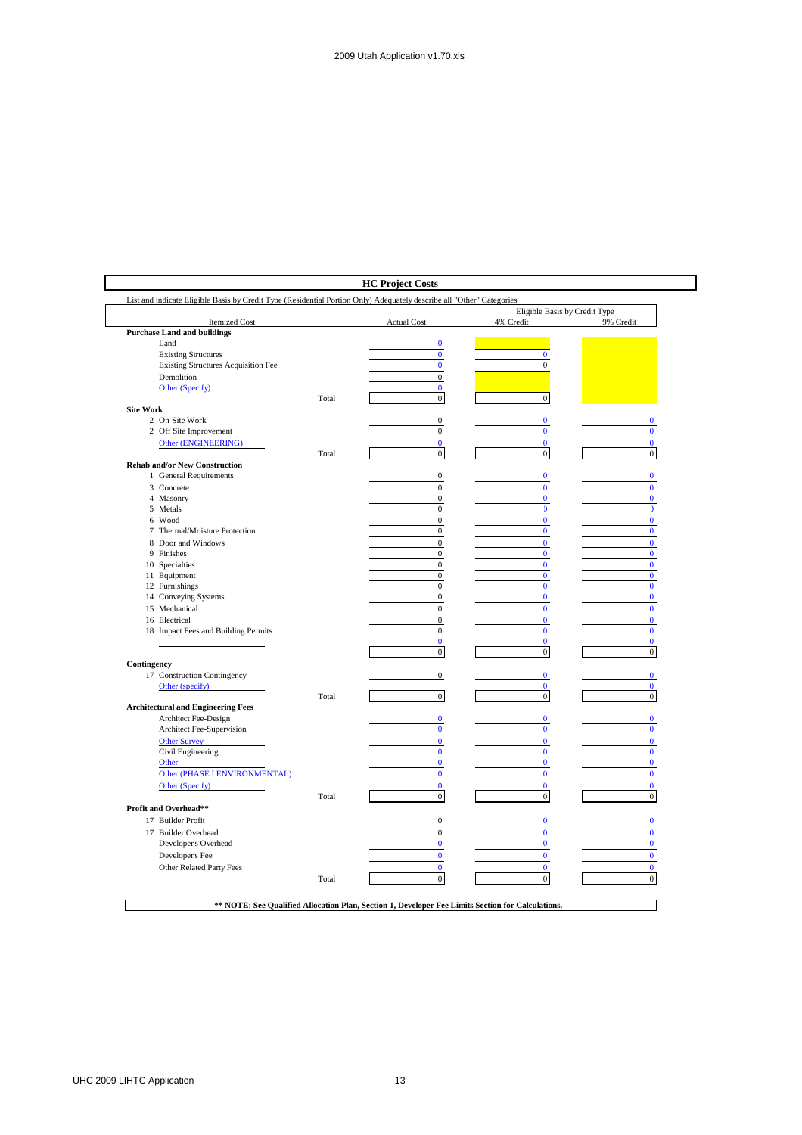| List and indicate Eligible Basis by Credit Type (Residential Portion Only) Adequately describe all "Other" Categories |       |                                      |                                            |                          |
|-----------------------------------------------------------------------------------------------------------------------|-------|--------------------------------------|--------------------------------------------|--------------------------|
| <b>Itemized Cost</b>                                                                                                  |       | <b>Actual Cost</b>                   | Eligible Basis by Credit Type<br>4% Credit | 9% Credit                |
| <b>Purchase Land and buildings</b>                                                                                    |       |                                      |                                            |                          |
| Land                                                                                                                  |       | $\bf{0}$                             |                                            |                          |
| <b>Existing Structures</b>                                                                                            |       | $\bf{0}$                             | $\mathbf{0}$                               |                          |
| Existing Structures Acquisition Fee                                                                                   |       | $\bf{0}$                             | $\bf{0}$                                   |                          |
| Demolition                                                                                                            |       | $\mathbf{0}$                         |                                            |                          |
| Other (Specify)                                                                                                       |       | $\mathbf{0}$                         |                                            |                          |
|                                                                                                                       | Total | $\mathbf 0$                          | $\boldsymbol{0}$                           |                          |
| <b>Site Work</b>                                                                                                      |       |                                      |                                            |                          |
| 2 On-Site Work                                                                                                        |       | $\boldsymbol{0}$                     | $\bf{0}$                                   | $\bf{0}$                 |
| 2 Off Site Improvement                                                                                                |       | $\boldsymbol{0}$                     | $\bf{0}$                                   | $\bf{0}$                 |
| Other (ENGINEERING)                                                                                                   |       | $\mathbf{0}$                         | $\mathbf{0}$                               | $\mathbf{0}$             |
|                                                                                                                       | Total | $\overline{0}$                       | $\boldsymbol{0}$                           | $\boldsymbol{0}$         |
| <b>Rehab and/or New Construction</b>                                                                                  |       | $\mathbf{0}$                         | $\mathbf{0}$                               | $\bf{0}$                 |
| 1 General Requirements                                                                                                |       |                                      |                                            |                          |
| 3 Concrete                                                                                                            |       | $\overline{0}$                       | $\mathbf{0}$                               | $\bf{0}$                 |
| 4 Masonry<br>5 Metals                                                                                                 |       | $\boldsymbol{0}$<br>$\boldsymbol{0}$ | $\bf{0}$<br>$\mathfrak{I}$                 | $\bf{0}$<br>$\mathbf{0}$ |
| 6 Wood                                                                                                                |       | $\mathbf{0}$                         | $\bf{0}$                                   | $\bf{0}$                 |
| 7 Thermal/Moisture Protection                                                                                         |       | $\boldsymbol{0}$                     | $\pmb{0}$                                  | $\bf{0}$                 |
| 8 Door and Windows                                                                                                    |       | $\boldsymbol{0}$                     | $\mathbf{0}$                               | $\bf{0}$                 |
| 9 Finishes                                                                                                            |       | $\mathbf{0}$                         | $\mathbf{0}$                               | $\bf{0}$                 |
| 10 Specialties                                                                                                        |       | $\boldsymbol{0}$                     | $\bf{0}$                                   | $\bf{0}$                 |
| 11 Equipment                                                                                                          |       | $\mathbf{0}$                         | $\mathbf{0}$                               | $\bf{0}$                 |
| 12 Furnishings                                                                                                        |       | $\mathbf{0}$                         | $\mathbf{0}$                               | $\bf{0}$                 |
| 14 Conveying Systems                                                                                                  |       | $\boldsymbol{0}$                     | $\bf{0}$                                   | $\bf{0}$                 |
| 15 Mechanical                                                                                                         |       | $\mathbf{0}$                         | $\mathbf{0}$                               | $\mathbf{0}$             |
| 16 Electrical                                                                                                         |       | $\boldsymbol{0}$                     | $\mathbf{0}$                               | $\bf{0}$                 |
| 18 Impact Fees and Building Permits                                                                                   |       | $\mathbf{0}$                         | $\bf{0}$                                   | $\bf{0}$                 |
|                                                                                                                       |       | $\mathbf{0}$                         | $\mathbf{0}$                               | $\mathbf{0}$             |
|                                                                                                                       |       | $\boldsymbol{0}$                     | $\overline{0}$                             | $\overline{0}$           |
| Contingency                                                                                                           |       |                                      |                                            |                          |
| 17 Construction Contingency                                                                                           |       | $\boldsymbol{0}$                     | $\bf{0}$                                   | $\bf{0}$                 |
| Other (specify)                                                                                                       |       |                                      | $\mathbf{0}$                               | $\bf{0}$                 |
|                                                                                                                       | Total | $\mathbf{0}$                         | $\boldsymbol{0}$                           | $\boldsymbol{0}$         |
| <b>Architectural and Engineering Fees</b>                                                                             |       |                                      |                                            |                          |
| Architect Fee-Design                                                                                                  |       | $\mathbf{0}$                         | $\mathbf{0}$                               | $\bf{0}$                 |
| Architect Fee-Supervision                                                                                             |       | $\pmb{0}$                            | $\bf{0}$                                   | $\bf{0}$                 |
| <b>Other Survey</b>                                                                                                   |       | $\bf{0}$                             | $\bf{0}$                                   | $\bf{0}$                 |
| Civil Engineering                                                                                                     |       | $\bf{0}$                             | $\mathbf{0}$                               | $\bf{0}$                 |
| Other                                                                                                                 |       | $\bf{0}$                             | $\bf{0}$                                   | $\bf{0}$                 |
| Other (PHASE I ENVIRONMENTAL)                                                                                         |       | $\bf{0}$                             | $\bf{0}$                                   | $\bf{0}$                 |
| Other (Specify)                                                                                                       |       | $\mathbf{0}$                         | $\mathbf{0}$                               | $\mathbf{0}$             |
|                                                                                                                       | Total | $\boldsymbol{0}$                     | $\boldsymbol{0}$                           | $\boldsymbol{0}$         |
| Profit and Overhead**                                                                                                 |       |                                      |                                            |                          |
| 17 Builder Profit                                                                                                     |       | $\boldsymbol{0}$                     | $\bf{0}$                                   | $\bf{0}$                 |
| 17 Builder Overhead                                                                                                   |       | $\mathbf{0}$                         | $\bf{0}$                                   | $\bf{0}$                 |
| Developer's Overhead                                                                                                  |       | $\bf{0}$                             | $\bf{0}$                                   | $\bf{0}$                 |
| Developer's Fee                                                                                                       |       | $\bf{0}$                             | $\bf{0}$                                   | $\bf{0}$                 |
| Other Related Party Fees                                                                                              |       | $\mathbf{0}$                         | $\mathbf{0}$                               | $\bf{0}$                 |
|                                                                                                                       | Total | $\mathbf 0$                          | $\boldsymbol{0}$                           | $\mathbf{0}$             |
|                                                                                                                       |       |                                      |                                            |                          |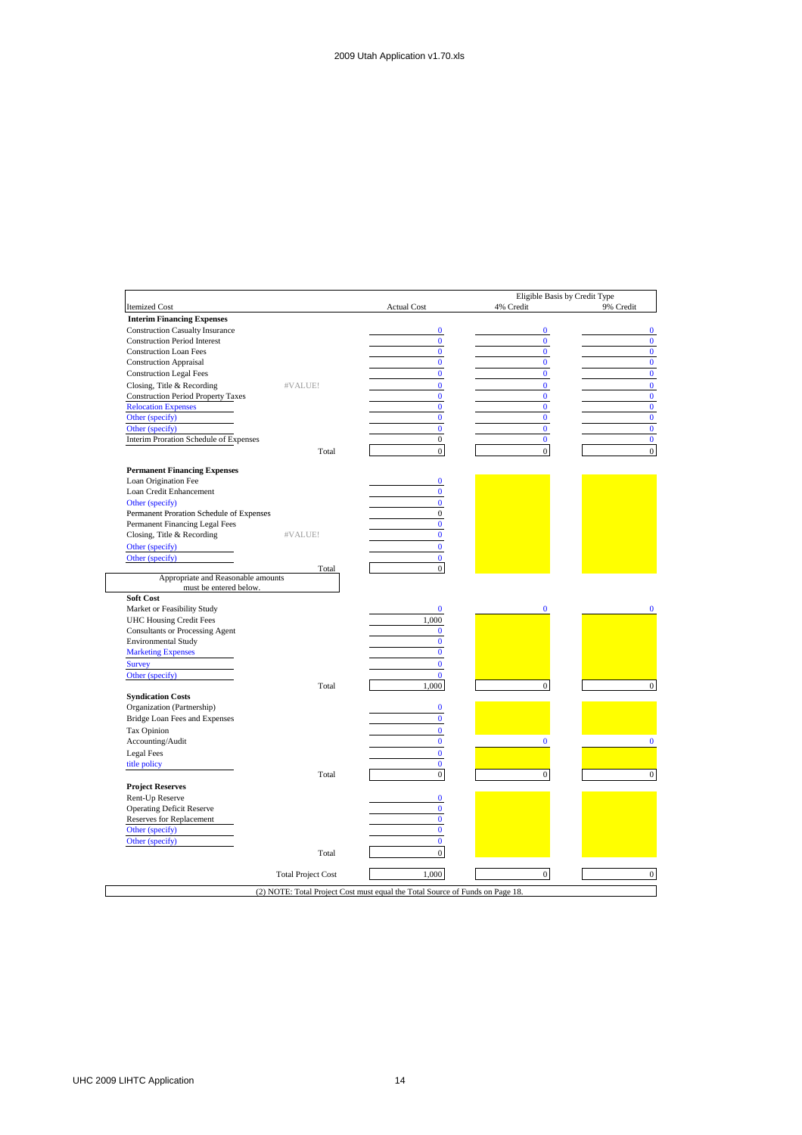|                                                              |                           |                            | Eligible Basis by Credit Type |           |
|--------------------------------------------------------------|---------------------------|----------------------------|-------------------------------|-----------|
| <b>Itemized Cost</b>                                         |                           | <b>Actual Cost</b>         | 4% Credit                     | 9% Credit |
| <b>Interim Financing Expenses</b>                            |                           |                            |                               |           |
| <b>Construction Casualty Insurance</b>                       |                           | $\bf{0}$                   | $\bf{0}$                      |           |
| <b>Construction Period Interest</b>                          |                           | $\bf{0}$                   | $\mathbf{0}$                  |           |
| <b>Construction Loan Fees</b>                                |                           | $\mathbf{0}$               | $\mathbf{0}$                  |           |
| <b>Construction Appraisal</b>                                |                           | $\bf{0}$                   | $\mathbf{0}$                  |           |
| <b>Construction Legal Fees</b>                               |                           | $\bf{0}$                   | $\mathbf{0}$                  |           |
| Closing, Title & Recording                                   | #VALUE!                   | $\overline{0}$             | $\mathbf{0}$                  |           |
| <b>Construction Period Property Taxes</b>                    |                           | $\bf{0}$                   | $\mathbf{0}$                  |           |
| <b>Relocation Expenses</b>                                   |                           | $\bf{0}$                   | $\mathbf{0}$                  |           |
| Other (specify)                                              |                           | $\bf{0}$                   | $\mathbf{0}$                  |           |
| Other (specify)                                              |                           | $\overline{0}$             | $\mathbf{0}$                  |           |
| <b>Interim Proration Schedule of Expenses</b>                |                           | $\boldsymbol{0}$           | $\bf{0}$                      |           |
|                                                              | Total                     | $\mathbf{0}$               | $\overline{0}$                |           |
| <b>Permanent Financing Expenses</b>                          |                           |                            |                               |           |
| Loan Origination Fee                                         |                           | $\bf{0}$                   |                               |           |
| Loan Credit Enhancement                                      |                           | $\bf{0}$                   |                               |           |
| Other (specify)                                              |                           | $\mathbf{0}$               |                               |           |
| Permanent Proration Schedule of Expenses                     |                           | $\overline{0}$             |                               |           |
| Permanent Financing Legal Fees                               |                           | $\bf{0}$                   |                               |           |
| Closing, Title & Recording                                   | #VALUE!                   | $\mathbf{0}$               |                               |           |
| Other (specify)                                              |                           | $\overline{0}$             |                               |           |
| Other (specify)                                              |                           | $\mathbf{0}$               |                               |           |
|                                                              | Total                     | $\overline{0}$             |                               |           |
| Appropriate and Reasonable amounts<br>must be entered below. |                           |                            |                               |           |
| Soft Cost                                                    |                           |                            |                               |           |
| Market or Feasibility Study                                  |                           | $\bf{0}$                   | $\mathbf{0}$                  |           |
| <b>UHC Housing Credit Fees</b>                               |                           | 1,000                      |                               |           |
| <b>Consultants or Processing Agent</b>                       |                           | $\bf{0}$                   |                               |           |
| <b>Environmental Study</b>                                   |                           | $\bf{0}$                   |                               |           |
| <b>Marketing Expenses</b>                                    |                           | $\bf{0}$                   |                               |           |
| <b>Survey</b>                                                |                           | $\overline{0}$             |                               |           |
| Other (specify)                                              |                           | $\bf{0}$                   |                               |           |
|                                                              | Total                     | 1,000                      | $\mathbf{0}$                  |           |
| <b>Syndication Costs</b>                                     |                           |                            |                               |           |
| Organization (Partnership)                                   |                           | $\bf{0}$                   |                               |           |
| Bridge Loan Fees and Expenses                                |                           | $\bf{0}$                   |                               |           |
| Tax Opinion                                                  |                           | $\mathbf{0}$               |                               |           |
| Accounting/Audit                                             |                           | $\bf{0}$                   | $\Omega$                      |           |
| Legal Fees                                                   |                           | $\bf{0}$                   |                               |           |
| title policy                                                 |                           | $\mathbf{0}$               |                               |           |
| <b>Contract Contract Contract</b>                            | Total                     | $\boldsymbol{0}$           | $\overline{0}$                |           |
|                                                              |                           |                            |                               |           |
| <b>Project Reserves</b>                                      |                           |                            |                               |           |
| Rent-Up Reserve                                              |                           | $\bf{0}$                   |                               |           |
| <b>Operating Deficit Reserve</b>                             |                           | $\mathbf{0}$<br>$\bf{0}$   |                               |           |
| Reserves for Replacement                                     |                           |                            |                               |           |
| Other (specify)                                              |                           | $\bf{0}$<br>$\overline{0}$ |                               |           |
| Other (specify)                                              |                           |                            |                               |           |
|                                                              | Total                     | $\overline{0}$             |                               |           |
|                                                              |                           |                            |                               |           |
|                                                              | <b>Total Project Cost</b> | 1,000                      | $\mathbf{0}$                  |           |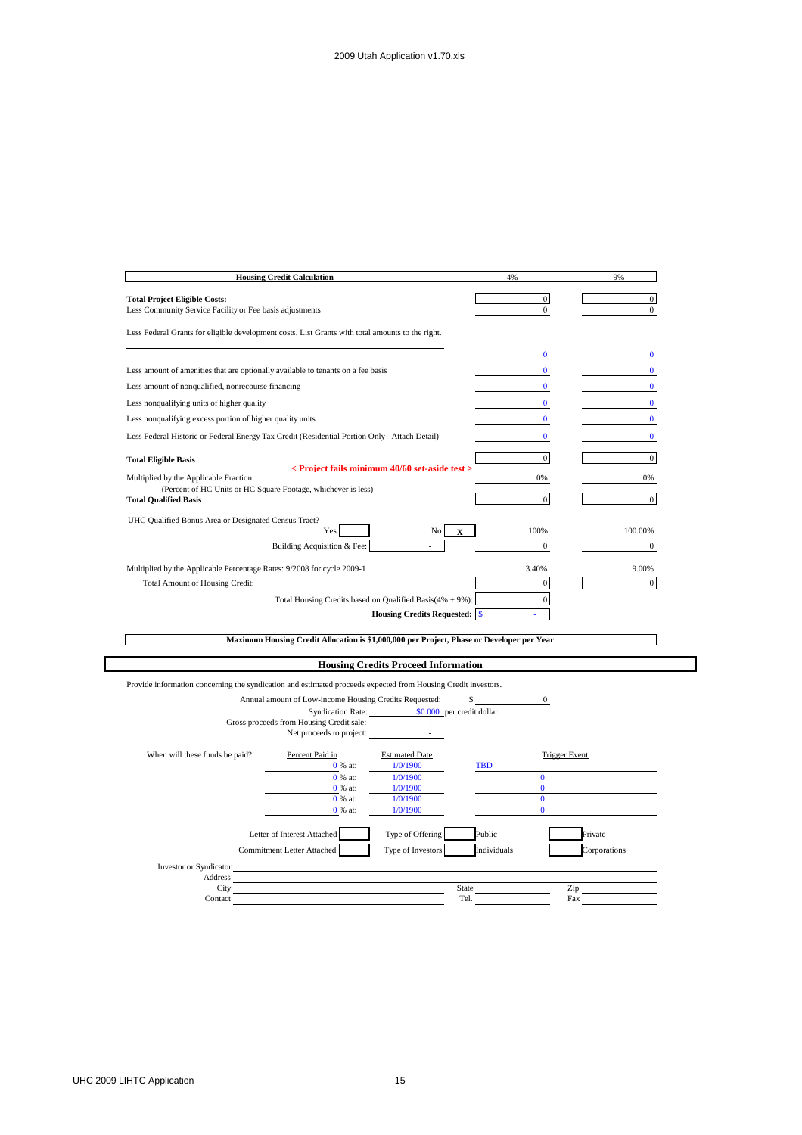|                                                                                                               | <b>Housing Credit Calculation</b>                                                         |                                                | 4%                           | 9%             |
|---------------------------------------------------------------------------------------------------------------|-------------------------------------------------------------------------------------------|------------------------------------------------|------------------------------|----------------|
| <b>Total Project Eligible Costs:</b>                                                                          |                                                                                           |                                                | $\overline{0}$               | $\overline{0}$ |
| Less Community Service Facility or Fee basis adjustments                                                      |                                                                                           | $\mathbf{0}$                                   | $\mathbf{0}$                 |                |
| Less Federal Grants for eligible development costs. List Grants with total amounts to the right.              |                                                                                           |                                                |                              |                |
|                                                                                                               |                                                                                           |                                                | $\bf{0}$                     | $\bf{0}$       |
| Less amount of amenities that are optionally available to tenants on a fee basis                              |                                                                                           |                                                | $\bf{0}$                     | $\mathbf{0}$   |
| Less amount of nonqualified, nonrecourse financing                                                            |                                                                                           |                                                | $\mathbf{0}$                 | $\mathbf{0}$   |
| Less nonqualifying units of higher quality                                                                    |                                                                                           |                                                | $\bf{0}$                     | $\bf{0}$       |
| Less nonqualifying excess portion of higher quality units                                                     |                                                                                           |                                                | $\mathbf{0}$                 | $\mathbf{0}$   |
| Less Federal Historic or Federal Energy Tax Credit (Residential Portion Only - Attach Detail)                 |                                                                                           |                                                | $\mathbf{0}$                 | $\Omega$       |
| <b>Total Eligible Basis</b>                                                                                   |                                                                                           |                                                | $\mathbf{0}$                 | $\mathbf{0}$   |
| Multiplied by the Applicable Fraction                                                                         |                                                                                           | < Proiect fails minimum 40/60 set-aside test > | 0%                           | 0%             |
|                                                                                                               | (Percent of HC Units or HC Square Footage, whichever is less)                             |                                                | $\overline{0}$               |                |
| <b>Total Qualified Basis</b>                                                                                  |                                                                                           |                                                |                              | $\overline{0}$ |
| UHC Qualified Bonus Area or Designated Census Tract?                                                          |                                                                                           |                                                |                              | 100.00%        |
|                                                                                                               | Yes                                                                                       | No                                             | 100%<br>$\mathbf{0}$         | $\mathbf{0}$   |
|                                                                                                               | Building Acquisition & Fee:                                                               |                                                |                              |                |
| Multiplied by the Applicable Percentage Rates: 9/2008 for cycle 2009-1                                        |                                                                                           |                                                | 3.40%                        | 9.00%          |
| Total Amount of Housing Credit:                                                                               |                                                                                           |                                                | $\mathbf{0}$                 | $\mathbf{0}$   |
|                                                                                                               | Maximum Housing Credit Allocation is \$1,000,000 per Project, Phase or Developer per Year |                                                |                              |                |
|                                                                                                               |                                                                                           | <b>Housing Credits Proceed Information</b>     |                              |                |
| Provide information concerning the syndication and estimated proceeds expected from Housing Credit investors. |                                                                                           |                                                |                              |                |
|                                                                                                               | Annual amount of Low-income Housing Credits Requested:                                    | \$                                             | $\overline{0}$               |                |
|                                                                                                               | <b>Syndication Rate:</b>                                                                  | \$0.000 per credit dollar.                     |                              |                |
|                                                                                                               | Gross proceeds from Housing Credit sale:<br>Net proceeds to project:                      |                                                |                              |                |
| When will these funds be paid?                                                                                | Percent Paid in                                                                           | <b>Estimated Date</b>                          | <b>Trigger Event</b>         |                |
|                                                                                                               | 0 % at:                                                                                   | 1/0/1900                                       | <b>TBD</b>                   |                |
|                                                                                                               | 0 % at:                                                                                   | 1/0/1900                                       | $\mathbf{0}$                 |                |
|                                                                                                               | 0 % at:                                                                                   | 1/0/1900                                       | $\mathbf{0}$<br>$\mathbf{0}$ |                |
|                                                                                                               | 0 % at:<br>0 % at:                                                                        | 1/0/1900<br>1/0/1900                           | $\overline{0}$               |                |
|                                                                                                               | Letter of Interest Attached                                                               | Type of Offering                               | Public                       | Private        |
|                                                                                                               | Commitment Letter Attached                                                                | Type of Investors                              | Individuals                  | Corporations   |
| Investor or Syndicator                                                                                        |                                                                                           |                                                |                              |                |
| Address                                                                                                       |                                                                                           |                                                |                              |                |
| City                                                                                                          |                                                                                           | State<br>Tel.                                  | Zip                          |                |
| Contact                                                                                                       | Fax                                                                                       |                                                |                              |                |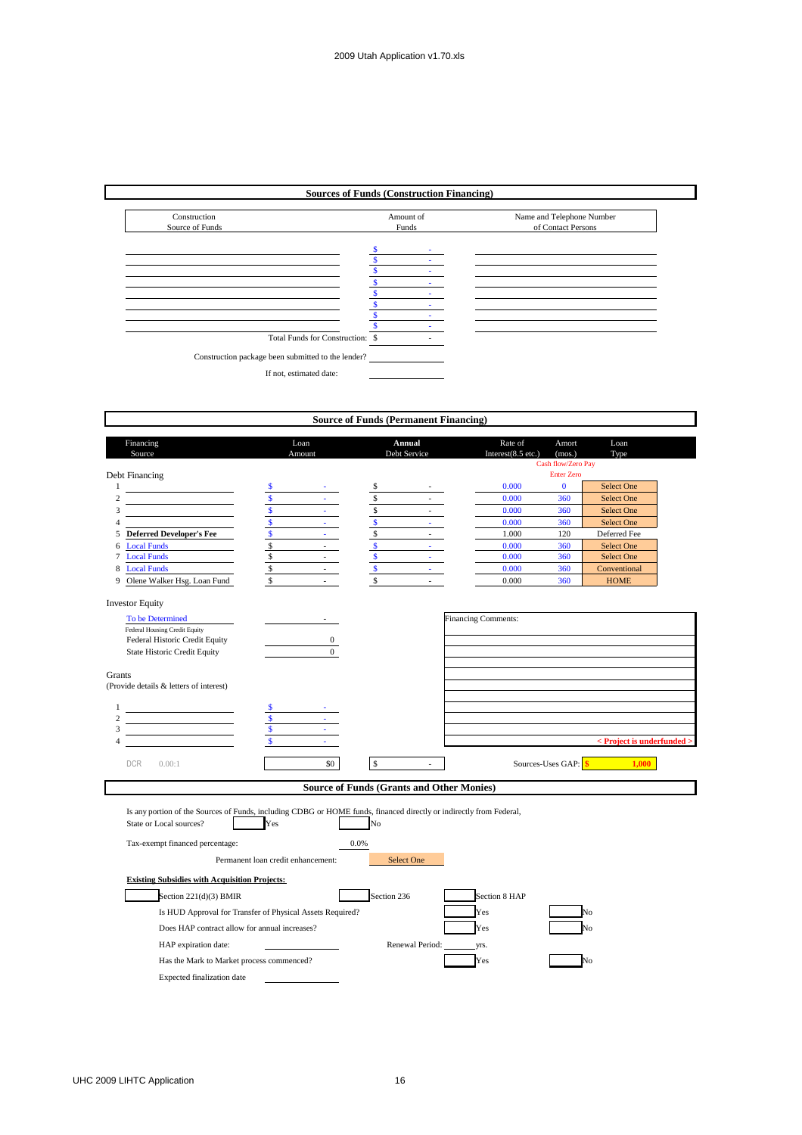### **Sources of Funds (Construction Financing)**



|                                                                                                                                                                                                                                                                     |                                    | Loan                                             |                    | Annual                | Rate of                    |                                   | Loan                                       |
|---------------------------------------------------------------------------------------------------------------------------------------------------------------------------------------------------------------------------------------------------------------------|------------------------------------|--------------------------------------------------|--------------------|-----------------------|----------------------------|-----------------------------------|--------------------------------------------|
| Financing<br>Source                                                                                                                                                                                                                                                 |                                    | Amount                                           |                    | Debt Service          | Interest(8.5 etc.)         | Amort<br>(mos.)                   | Type                                       |
|                                                                                                                                                                                                                                                                     |                                    |                                                  |                    |                       |                            | Cash flow/Zero Pay                |                                            |
| Debt Financing<br>$\mathbf{1}$                                                                                                                                                                                                                                      |                                    |                                                  |                    |                       | 0.000                      | <b>Enter Zero</b><br>$\mathbf{0}$ | <b>Select One</b>                          |
|                                                                                                                                                                                                                                                                     | \$<br>\$                           |                                                  | \$<br>\$           |                       | 0.000                      | 360                               | <b>Select One</b>                          |
| the control of the control of the control of                                                                                                                                                                                                                        | $\overline{\mathbf{S}}$            | $\Delta \sim 10^4$                               | \$                 | $\sim 10^{-1}$        | 0.000                      | 360                               | Select One                                 |
|                                                                                                                                                                                                                                                                     | $\overline{\mathbf{s}}$            | a.                                               | $\mathbb S$        | $\Delta \sim 10^{-1}$ | 0.000                      | 360                               | <b>Select One</b>                          |
| <b>Deferred Developer's Fee</b>                                                                                                                                                                                                                                     |                                    | $\sim$                                           | \$                 | $\sim 10^{-1}$        | 1.000                      | 120                               | Deferred Fee                               |
| <b>Local Funds</b>                                                                                                                                                                                                                                                  | $\mathsf{\$}$                      |                                                  | $\mathbf{\hat{s}}$ | $\Delta \sim 10^{-1}$ | 0.000                      | 360                               | Select One                                 |
| <b>Local Funds</b>                                                                                                                                                                                                                                                  | \$                                 | $\mathcal{L}^{\text{max}}$                       | $\pmb{\mathbb{S}}$ | $\omega_{\rm{max}}$   | 0.000                      | 360                               | <b>Select One</b>                          |
| <b>Local Funds</b>                                                                                                                                                                                                                                                  | $\mathbb S$                        | $\mathcal{L}^{\text{max}}$                       | $\mathbf{s}$       | $\Delta \sim 10^4$    | 0.000                      | 360                               | Conventional                               |
| Olene Walker Hsg. Loan Fund                                                                                                                                                                                                                                         | $\mathbf{s}$                       | $\sim$                                           | $\mathsf{\$}$      | $\sim$                | 0.000                      | 360                               | <b>HOME</b>                                |
| <b>Investor Equity</b>                                                                                                                                                                                                                                              |                                    |                                                  |                    |                       |                            |                                   |                                            |
| To be Determined                                                                                                                                                                                                                                                    |                                    |                                                  |                    |                       | <b>Financing Comments:</b> |                                   |                                            |
| Federal Housing Credit Equity                                                                                                                                                                                                                                       |                                    |                                                  |                    |                       |                            |                                   |                                            |
| Federal Historic Credit Equity                                                                                                                                                                                                                                      |                                    | $\mathbf{0}$<br>$\Omega$                         |                    |                       |                            |                                   |                                            |
| <b>State Historic Credit Equity</b>                                                                                                                                                                                                                                 |                                    |                                                  |                    |                       |                            |                                   |                                            |
| Grants                                                                                                                                                                                                                                                              |                                    |                                                  |                    |                       |                            |                                   |                                            |
| (Provide details & letters of interest)                                                                                                                                                                                                                             |                                    |                                                  |                    |                       |                            |                                   |                                            |
|                                                                                                                                                                                                                                                                     |                                    |                                                  |                    |                       |                            |                                   |                                            |
| the control of the control of the control of                                                                                                                                                                                                                        |                                    |                                                  |                    |                       |                            |                                   |                                            |
|                                                                                                                                                                                                                                                                     |                                    |                                                  |                    |                       |                            |                                   |                                            |
|                                                                                                                                                                                                                                                                     |                                    |                                                  |                    |                       |                            |                                   |                                            |
|                                                                                                                                                                                                                                                                     |                                    |                                                  |                    |                       |                            |                                   |                                            |
|                                                                                                                                                                                                                                                                     |                                    |                                                  |                    |                       |                            |                                   | $\langle$ Project is underfunded $\langle$ |
| 0.00:1                                                                                                                                                                                                                                                              |                                    | \$0                                              | $\mathbf{s}$       | L.                    |                            | Sources-Uses GAP: \$              | 1.000                                      |
|                                                                                                                                                                                                                                                                     |                                    |                                                  |                    |                       |                            |                                   |                                            |
| <b>DCR</b>                                                                                                                                                                                                                                                          |                                    | <b>Source of Funds (Grants and Other Monies)</b> |                    |                       |                            |                                   |                                            |
|                                                                                                                                                                                                                                                                     |                                    |                                                  |                    |                       |                            |                                   |                                            |
|                                                                                                                                                                                                                                                                     | Yes                                |                                                  | No                 |                       |                            |                                   |                                            |
|                                                                                                                                                                                                                                                                     |                                    |                                                  | 0.0%               |                       |                            |                                   |                                            |
|                                                                                                                                                                                                                                                                     | Permanent loan credit enhancement: |                                                  |                    | Select One            |                            |                                   |                                            |
|                                                                                                                                                                                                                                                                     |                                    |                                                  |                    |                       |                            |                                   |                                            |
|                                                                                                                                                                                                                                                                     |                                    |                                                  | Section 236        |                       | Section 8 HAP              |                                   |                                            |
| Is any portion of the Sources of Funds, including CDBG or HOME funds, financed directly or indirectly from Federal,<br>State or Local sources?<br>Tax-exempt financed percentage:<br><b>Existing Subsidies with Acquisition Projects:</b><br>Section 221(d)(3) BMIR |                                    |                                                  |                    |                       | Yes                        |                                   | No                                         |
| Is HUD Approval for Transfer of Physical Assets Required?<br>Does HAP contract allow for annual increases?                                                                                                                                                          |                                    |                                                  |                    |                       | Yes                        |                                   | Jο                                         |
|                                                                                                                                                                                                                                                                     |                                    |                                                  |                    | Renewal Period:       | Vrs.                       |                                   |                                            |
| HAP expiration date:<br>Has the Mark to Market process commenced?                                                                                                                                                                                                   |                                    |                                                  |                    |                       | Yes                        |                                   | No                                         |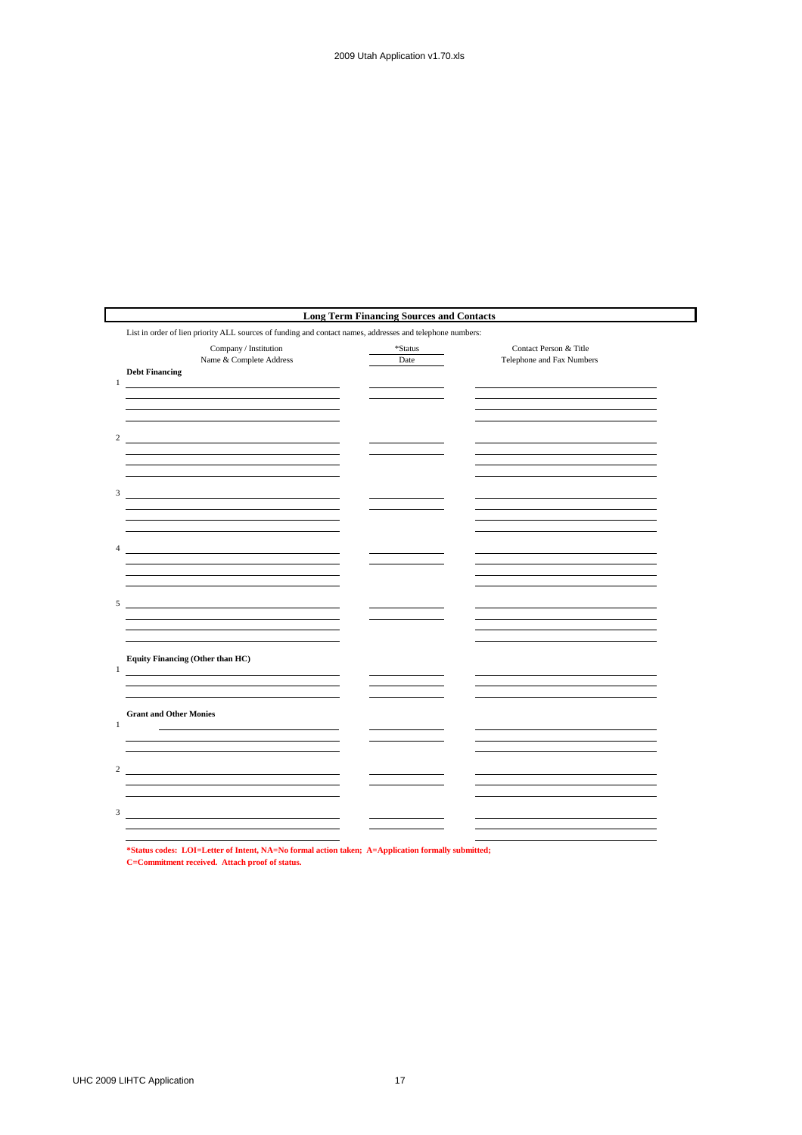|                                                                                                                                         | <b>Long Term Financing Sources and Contacts</b> |                                                     |  |
|-----------------------------------------------------------------------------------------------------------------------------------------|-------------------------------------------------|-----------------------------------------------------|--|
| List in order of lien priority ALL sources of funding and contact names, addresses and telephone numbers:                               |                                                 |                                                     |  |
| Company / Institution<br>Name & Complete Address<br><b>Debt Financing</b><br>$\,1$                                                      | *Status<br>Date                                 | Contact Person & Title<br>Telephone and Fax Numbers |  |
|                                                                                                                                         |                                                 |                                                     |  |
| $\mathbf{2}$                                                                                                                            |                                                 |                                                     |  |
|                                                                                                                                         |                                                 |                                                     |  |
| $\overline{4}$<br><u> 1989 - Johann Barbara, martin amerikan basar dan basa dan basa dan basa dalam basa dalam basa dalam basa dala</u> |                                                 |                                                     |  |
| 5<br><u> 2008 - Andrea Andrew Maria (h. 1878).</u>                                                                                      |                                                 |                                                     |  |
| Equity Financing (Other than HC)<br>$\mathbf{1}$<br><u> 1989 - Johann Barbara, martxa alemaniar a</u>                                   |                                                 |                                                     |  |
| <b>Grant and Other Monies</b><br>$\mathbf{1}$                                                                                           |                                                 |                                                     |  |
| $\overline{c}$                                                                                                                          |                                                 |                                                     |  |
| 3                                                                                                                                       |                                                 |                                                     |  |
|                                                                                                                                         |                                                 |                                                     |  |

**\*Status codes: LOI=Letter of Intent, NA=No formal action taken; A=Application formally submitted; C=Commitment received. Attach proof of status.**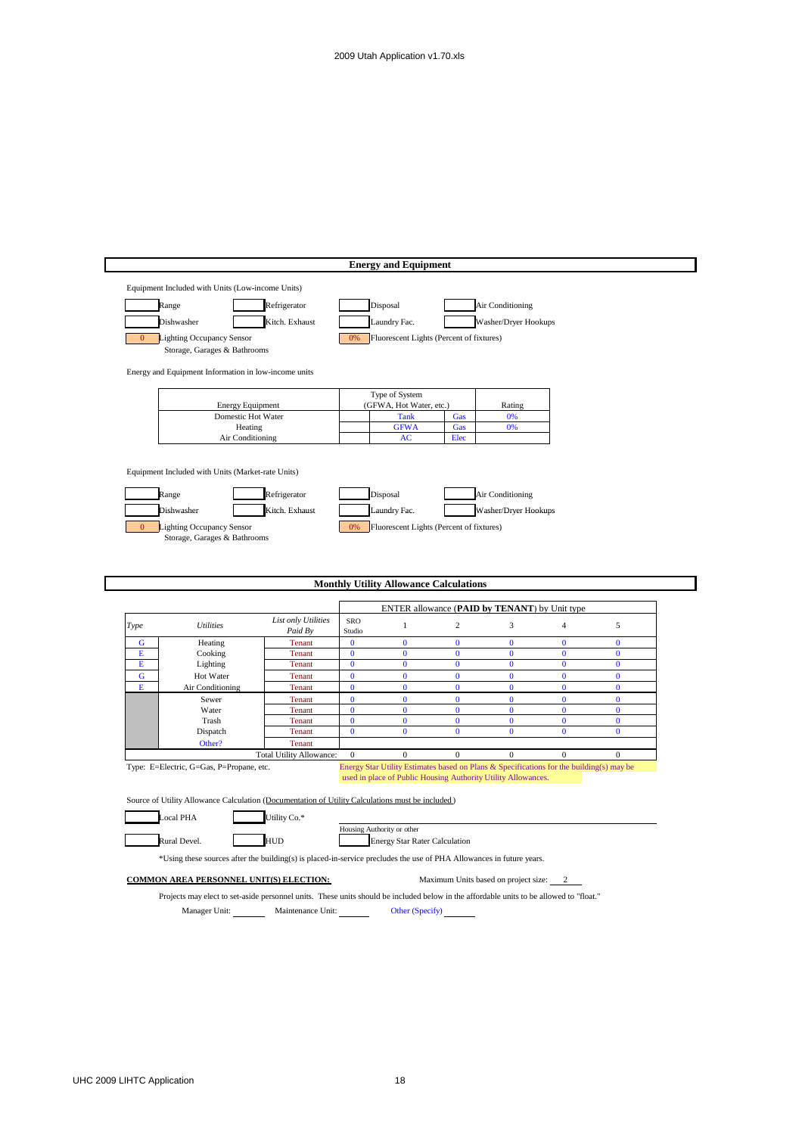|                |                                                                                                                                         |                          | <b>Energy and Equipment</b>                                                              |                                               |                                      |                          |                          |
|----------------|-----------------------------------------------------------------------------------------------------------------------------------------|--------------------------|------------------------------------------------------------------------------------------|-----------------------------------------------|--------------------------------------|--------------------------|--------------------------|
|                | Equipment Included with Units (Low-income Units)                                                                                        |                          |                                                                                          |                                               |                                      |                          |                          |
|                | Range                                                                                                                                   | Refrigerator             | Disposal                                                                                 |                                               | Air Conditioning                     |                          |                          |
|                |                                                                                                                                         |                          |                                                                                          |                                               |                                      |                          |                          |
|                | Dishwasher                                                                                                                              | Kitch. Exhaust           | Laundry Fac.                                                                             |                                               | Washer/Dryer Hookups                 |                          |                          |
| $\mathbf{0}$   | Lighting Occupancy Sensor                                                                                                               |                          | 0%                                                                                       | Fluorescent Lights (Percent of fixtures)      |                                      |                          |                          |
|                | Storage, Garages & Bathrooms                                                                                                            |                          |                                                                                          |                                               |                                      |                          |                          |
|                | Energy and Equipment Information in low-income units                                                                                    |                          |                                                                                          |                                               |                                      |                          |                          |
|                |                                                                                                                                         |                          |                                                                                          |                                               |                                      |                          |                          |
|                | <b>Energy Equipment</b>                                                                                                                 |                          | Type of System<br>(GFWA, Hot Water, etc.)                                                |                                               | Rating                               |                          |                          |
|                | Domestic Hot Water                                                                                                                      |                          | <b>Tank</b>                                                                              | Gas                                           | 0%                                   |                          |                          |
|                | Heating                                                                                                                                 |                          | <b>GFWA</b>                                                                              | Gas                                           | 0%                                   |                          |                          |
|                | Air Conditioning                                                                                                                        |                          | $\bf AC$                                                                                 | Elec                                          |                                      |                          |                          |
|                |                                                                                                                                         |                          |                                                                                          |                                               |                                      |                          |                          |
|                | Equipment Included with Units (Market-rate Units)                                                                                       |                          |                                                                                          |                                               |                                      |                          |                          |
|                | Range                                                                                                                                   | Refrigerator             | Disposal                                                                                 |                                               | Air Conditioning                     |                          |                          |
|                |                                                                                                                                         |                          |                                                                                          |                                               |                                      |                          |                          |
|                | Dishwasher                                                                                                                              | Kitch. Exhaust           | Laundry Fac.                                                                             |                                               | Washer/Dryer Hookups                 |                          |                          |
| $\overline{0}$ | Lighting Occupancy Sensor<br>Storage, Garages & Bathrooms                                                                               |                          | 0%                                                                                       | Fluorescent Lights (Percent of fixtures)      |                                      |                          |                          |
|                |                                                                                                                                         |                          |                                                                                          |                                               |                                      |                          |                          |
|                |                                                                                                                                         |                          |                                                                                          |                                               |                                      |                          |                          |
|                |                                                                                                                                         |                          |                                                                                          |                                               |                                      |                          |                          |
|                |                                                                                                                                         |                          |                                                                                          |                                               |                                      |                          |                          |
|                |                                                                                                                                         |                          | <b>Monthly Utility Allowance Calculations</b>                                            |                                               |                                      |                          |                          |
|                |                                                                                                                                         |                          |                                                                                          |                                               |                                      |                          |                          |
|                |                                                                                                                                         | List only Utilities      | SRO                                                                                      | ENTER allowance (PAID by TENANT) by Unit type |                                      |                          |                          |
|                | <b>Utilities</b>                                                                                                                        | Paid By                  | $\mathbf{1}$<br>Studio                                                                   | $\overline{c}$                                | 3                                    | $\overline{4}$           | $\sqrt{5}$               |
| G              | Heating                                                                                                                                 | Tenant                   | $\bf{0}$<br>$\bf{0}$                                                                     | $\bf{0}$                                      | $\bf{0}$                             | $\bf{0}$                 | $\bf{0}$                 |
| Е<br>E         | Cooking<br>Lighting                                                                                                                     | Tenant<br>Tenant         | $\bf{0}$<br>$\bf{0}$<br>$\mathbf{0}$<br>$\mathbf{0}$                                     | $\bf{0}$<br>$\mathbf{0}$                      | $\bf{0}$<br>$\mathbf{0}$             | $\bf{0}$<br>$\mathbf{0}$ | $\bf{0}$<br>$\mathbf{0}$ |
| ${\bf G}$      | Hot Water                                                                                                                               | Tenant                   | $\bf{0}$<br>$\bf{0}$                                                                     | $\bf{0}$                                      | $\mathbf{0}$                         | $\bf{0}$                 | $\bf{0}$                 |
| Е              | Air Conditioning                                                                                                                        | Tenant                   | $\bf{0}$<br>$\mathbf{0}$                                                                 | $\bf{0}$                                      | $\mathbf{0}$                         | $\bf{0}$                 | $\bf{0}$                 |
|                | Sewer                                                                                                                                   | Tenant                   | $\mathbf{0}$<br>$\mathbf{0}$                                                             | $\mathbf{0}$                                  | $\mathbf{0}$                         | $\mathbf{0}$             | $\mathbf{0}$             |
|                | Water                                                                                                                                   | Tenant                   | $\bf{0}$<br>$\bf{0}$                                                                     | $\bf{0}$                                      | $\bf{0}$                             | $\bf{0}$                 | $\bf{0}$                 |
|                | Trash<br>Dispatch                                                                                                                       | Tenant<br><b>Tenant</b>  | $\bf{0}$<br>$\bf{0}$<br>$\bf{0}$<br>$\bf{0}$                                             | $\bf{0}$<br>$\bf{0}$                          | $\bf{0}$<br>$\bf{0}$                 | $\bf{0}$<br>$\bf{0}$     | $\bf{0}$<br>$\bf{0}$     |
|                | Other?                                                                                                                                  | Tenant                   |                                                                                          |                                               |                                      |                          |                          |
|                |                                                                                                                                         | Total Utility Allowance: | $\mathbf{0}$<br>$\mathbf{0}$                                                             | $\mathbf{0}$                                  | $\mathbf{0}$                         | $\mathbf{0}$             | $\mathbf{0}$             |
|                | Type: E=Electric, G=Gas, P=Propane, etc.                                                                                                |                          | Energy Star Utility Estimates based on Plans & Specifications for the building(s) may be |                                               |                                      |                          |                          |
|                |                                                                                                                                         |                          | used in place of Public Housing Authority Utility Allowances.                            |                                               |                                      |                          |                          |
|                | Source of Utility Allowance Calculation (Documentation of Utility Calculations must be included)                                        |                          |                                                                                          |                                               |                                      |                          |                          |
| Type           | <b>Local PHA</b>                                                                                                                        | Jtility Co.*             |                                                                                          |                                               |                                      |                          |                          |
|                |                                                                                                                                         |                          | Housing Authority or other                                                               |                                               |                                      |                          |                          |
|                | Rural Devel.                                                                                                                            | <b>HUD</b>               |                                                                                          | <b>Energy Star Rater Calculation</b>          |                                      |                          |                          |
|                | *Using these sources after the building(s) is placed-in-service precludes the use of PHA Allowances in future years.                    |                          |                                                                                          |                                               |                                      |                          |                          |
|                |                                                                                                                                         |                          |                                                                                          |                                               |                                      |                          |                          |
|                | <b>COMMON AREA PERSONNEL UNIT(S) ELECTION:</b>                                                                                          |                          |                                                                                          |                                               | Maximum Units based on project size: | 2                        |                          |
|                | Projects may elect to set-aside personnel units. These units should be included below in the affordable units to be allowed to "float." |                          |                                                                                          |                                               |                                      |                          |                          |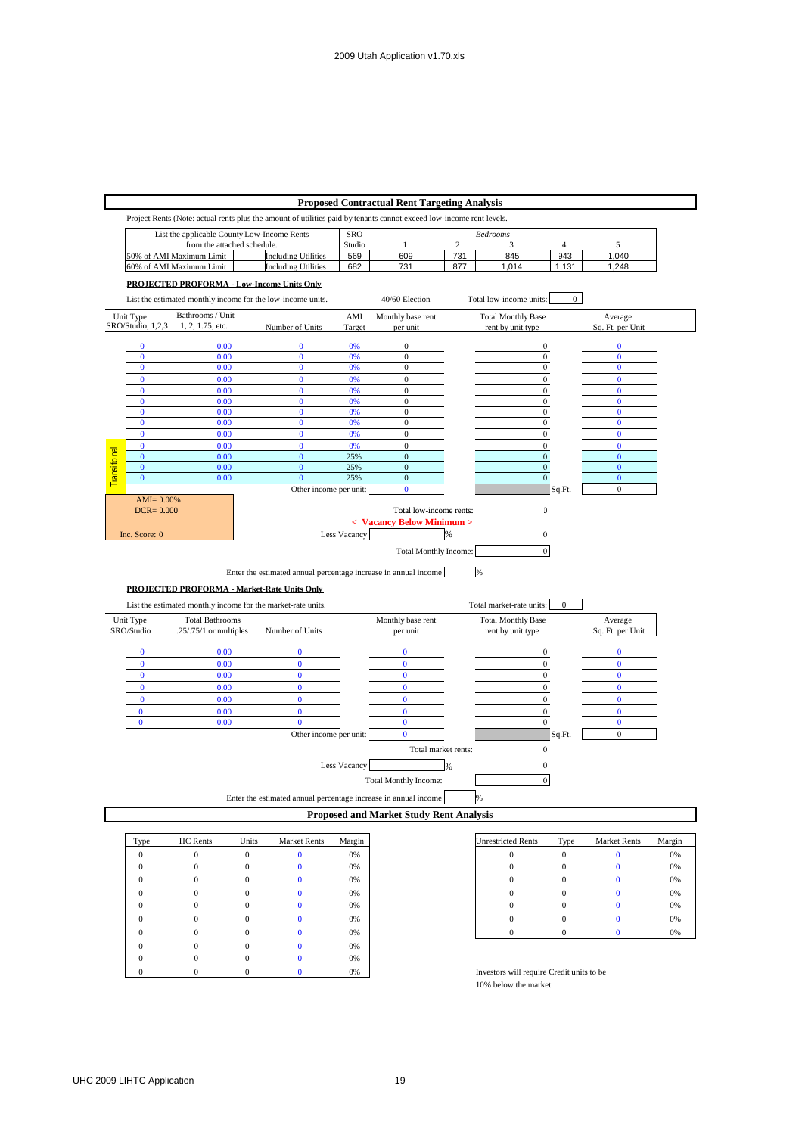|                                    | <b>Proposed Contractual Rent Targeting Analysis</b> |                            |                                                                                                                      |                        |                                                |                |                                      |                  |                          |        |
|------------------------------------|-----------------------------------------------------|----------------------------|----------------------------------------------------------------------------------------------------------------------|------------------------|------------------------------------------------|----------------|--------------------------------------|------------------|--------------------------|--------|
|                                    |                                                     |                            | Project Rents (Note: actual rents plus the amount of utilities paid by tenants cannot exceed low-income rent levels. |                        |                                                |                |                                      |                  |                          |        |
|                                    |                                                     |                            | List the applicable County Low-Income Rents                                                                          | <b>SRO</b>             |                                                |                | <b>Bedrooms</b>                      |                  |                          |        |
|                                    |                                                     | from the attached schedule |                                                                                                                      | Studio                 | 1                                              | $\overline{c}$ | 3                                    | 4                | 5                        |        |
|                                    |                                                     | 50% of AMI Maximum Limit   | <b>Including Utilities</b>                                                                                           | 569                    | 609                                            | 731            | 845                                  | 943              | 1,040                    |        |
|                                    |                                                     | 60% of AMI Maximum Limit   | <b>Including Utilities</b>                                                                                           | 682                    | 731                                            | 877            | 1,014                                | 1,131            | 1,248                    |        |
|                                    |                                                     |                            | PROJECTED PROFORMA - Low-Income Units Only                                                                           |                        |                                                |                |                                      |                  |                          |        |
|                                    |                                                     |                            | List the estimated monthly income for the low-income units.                                                          |                        | 40/60 Election                                 |                | Total low-income units:              | $\overline{0}$   |                          |        |
| Unit Type                          |                                                     | Bathrooms / Unit           |                                                                                                                      | AMI                    | Monthly base rent                              |                | <b>Total Monthly Base</b>            |                  | Average                  |        |
| SRO/Studio, 1,2,3                  |                                                     | 1, 2, 1.75, etc.           | Number of Units                                                                                                      | Target                 | per unit                                       |                | rent by unit type                    |                  | Sq. Ft. per Unit         |        |
| $\bf{0}$                           |                                                     | 0.00                       | $\bf{0}$                                                                                                             | 0%                     | $\boldsymbol{0}$                               |                | $\boldsymbol{0}$                     |                  | $\mathbf{0}$             |        |
| $\bf{0}$                           |                                                     | 0.00                       | $\bf{0}$                                                                                                             | 0%                     | $\boldsymbol{0}$                               |                | $\mathbf{0}$                         |                  | $\mathbf{0}$             |        |
| $\bf{0}$                           |                                                     | 0.00                       | $\bf{0}$                                                                                                             | 0%                     | $\boldsymbol{0}$                               |                | $\boldsymbol{0}$                     |                  | $\bf{0}$                 |        |
| $\mathbf{0}$                       |                                                     | 0.00                       | $\mathbf{0}$                                                                                                         | 0%                     | $\mathbf{0}$                                   |                | $\mathbf{0}$                         |                  | $\mathbf{0}$             |        |
| $\bf{0}$<br>$\bf{0}$               |                                                     | 0.00<br>0.00               | $\mathbf{0}$<br>$\bf{0}$                                                                                             | 0%<br>0%               | $\boldsymbol{0}$<br>$\boldsymbol{0}$           |                | $\boldsymbol{0}$<br>$\boldsymbol{0}$ |                  | $\mathbf{0}$<br>$\bf{0}$ |        |
| $\overline{0}$                     |                                                     | 0.00                       | $\mathbf{0}$                                                                                                         | 0%                     | $\mathbf{0}$                                   |                | $\boldsymbol{0}$                     |                  | $\mathbf{0}$             |        |
| $\bf{0}$                           |                                                     | 0.00                       | $\mathbf{0}$                                                                                                         | 0%                     | $\mathbf{0}$                                   |                | $\boldsymbol{0}$                     |                  | $\mathbf{0}$             |        |
| $\overline{0}$                     |                                                     | 0.00                       | $\bf{0}$                                                                                                             | 0%                     | $\boldsymbol{0}$                               |                | $\boldsymbol{0}$                     |                  | $\mathbf{0}$             |        |
| $\bf{0}$                           |                                                     | 0.00                       | $\mathbf{0}$                                                                                                         | 0%                     | $\mathbf{0}$                                   |                | $\overline{0}$                       |                  | $\mathbf{0}$             |        |
| <b>Transifonal</b><br>$\mathbf{0}$ |                                                     | 0.00                       | $\mathbf{0}$                                                                                                         | 25%                    | $\mathbf{0}$                                   |                | $\mathbf{0}$                         |                  | $\mathbf{0}$             |        |
| $\overline{0}$                     |                                                     | 0.00                       | $\overline{0}$                                                                                                       | 25%                    | $\boldsymbol{0}$                               |                | $\boldsymbol{0}$                     |                  | $\bf{0}$                 |        |
| $\mathbf 0$                        |                                                     | 0.00                       | $\bf{0}$                                                                                                             | 25%                    | $\mathbf{0}$                                   |                | $\boldsymbol{0}$                     |                  | $\mathbf{0}$             |        |
|                                    |                                                     |                            |                                                                                                                      | Other income per unit: | $\bf{0}$                                       |                |                                      | Sq.Ft.           | $\overline{0}$           |        |
|                                    | $AMI = 0.00\%$<br>$DCR = 0.000$                     |                            |                                                                                                                      |                        | Total low-income rents:                        |                | $\overline{\mathbf{a}}$              |                  |                          |        |
|                                    |                                                     |                            |                                                                                                                      |                        | < Vacancy Below Minimum >                      |                |                                      |                  |                          |        |
|                                    |                                                     |                            |                                                                                                                      | Less Vacancy           |                                                | %              | $\boldsymbol{0}$                     |                  |                          |        |
| Inc. Score: 0                      |                                                     |                            |                                                                                                                      |                        |                                                |                |                                      |                  |                          |        |
|                                    |                                                     |                            |                                                                                                                      |                        | Total Monthly Income:                          |                | $\mathbf{0}$                         |                  |                          |        |
|                                    |                                                     |                            |                                                                                                                      |                        |                                                |                |                                      |                  |                          |        |
|                                    |                                                     |                            | Enter the estimated annual percentage increase in annual income                                                      |                        |                                                |                |                                      |                  |                          |        |
|                                    |                                                     |                            | PROJECTED PROFORMA - Market-Rate Units Only                                                                          |                        |                                                |                |                                      |                  |                          |        |
|                                    |                                                     |                            | List the estimated monthly income for the market-rate units.                                                         |                        |                                                |                | Total market-rate units:             | $\Omega$         |                          |        |
| Unit Type                          |                                                     | <b>Total Bathrooms</b>     |                                                                                                                      |                        | Monthly base rent                              |                | <b>Total Monthly Base</b>            |                  | Average                  |        |
| SRO/Studio                         |                                                     | $.25/.75/1$ or multiples   | Number of Units                                                                                                      |                        | per unit                                       |                | rent by unit type                    |                  | Sq. Ft. per Unit         |        |
| $\bf{0}$                           |                                                     | 0.00                       | $\bf{0}$                                                                                                             |                        | $\bf{0}$                                       |                | $\boldsymbol{0}$                     |                  | $\mathbf{0}$             |        |
| $\bf{0}$                           |                                                     | 0.00                       | $\mathbf{0}$                                                                                                         |                        | $\mathbf{0}$                                   |                | $\mathbf{0}$                         |                  | $\mathbf{0}$             |        |
| $\bf{0}$                           |                                                     | 0.00                       | $\bf{0}$                                                                                                             |                        | $\bf{0}$                                       |                | $\boldsymbol{0}$                     |                  | $\bf{0}$                 |        |
| $\bf{0}$                           |                                                     | 0.00                       | $\overline{0}$                                                                                                       |                        | $\bf{0}$                                       |                | $\mathbf{0}$                         |                  | $\mathbf{0}$             |        |
| $\bf{0}$                           |                                                     | 0.00                       | $\bf{0}$                                                                                                             |                        | $\bf{0}$                                       |                | $\boldsymbol{0}$                     |                  | $\bf{0}$                 |        |
| $\pmb{0}$                          |                                                     | 0.00                       | $\mathbf{0}$                                                                                                         |                        | $\mathbf{0}$                                   |                | $\boldsymbol{0}$                     |                  | $\bf{0}$                 |        |
| $\bf{0}$                           |                                                     | 0.00                       | $\bf{0}$                                                                                                             |                        | $\bf{0}$                                       |                | $\boldsymbol{0}$                     |                  | $\bf{0}$                 |        |
|                                    |                                                     |                            |                                                                                                                      | Other income per unit: | $\bf{0}$                                       |                |                                      | Sq.Ft.           | $\mathbf{0}$             |        |
|                                    |                                                     |                            |                                                                                                                      |                        | Total market rents:                            |                | $\mathbf{0}$                         |                  |                          |        |
|                                    |                                                     |                            |                                                                                                                      |                        |                                                |                |                                      |                  |                          |        |
|                                    |                                                     |                            |                                                                                                                      | Less Vacancy           |                                                | %              | $\boldsymbol{0}$                     |                  |                          |        |
|                                    |                                                     |                            |                                                                                                                      |                        | <b>Total Monthly Income:</b>                   |                | $\overline{0}$                       |                  |                          |        |
|                                    |                                                     |                            | Enter the estimated annual percentage increase in annual income                                                      |                        |                                                |                | %                                    |                  |                          |        |
|                                    |                                                     |                            |                                                                                                                      |                        | <b>Proposed and Market Study Rent Analysis</b> |                |                                      |                  |                          |        |
|                                    |                                                     |                            |                                                                                                                      |                        |                                                |                |                                      |                  |                          |        |
| Type                               |                                                     | HC Rents                   | Units<br>Market Rents                                                                                                | Margin                 |                                                |                | <b>Jnrestricted Rents</b>            | Type             | <b>Market Rents</b>      | Margin |
| $\boldsymbol{0}$                   |                                                     | $\boldsymbol{0}$           | $\boldsymbol{0}$<br>$\bf{0}$                                                                                         | 0%                     |                                                |                | $\boldsymbol{0}$                     | $\boldsymbol{0}$ | $\bf{0}$                 | 0%     |
| $\mathbf{0}$                       |                                                     | $\overline{0}$             | $\bf{0}$<br>$\overline{0}$                                                                                           | 0%                     |                                                |                | $\mathbf{0}$                         | $\overline{0}$   | $\bf{0}$                 | 0%     |

| Type | HC Rents | Units    | <b>Market Rents</b> | Margin |
|------|----------|----------|---------------------|--------|
|      |          | $\Omega$ |                     | 0%     |
|      |          |          |                     | 0%     |
|      |          |          |                     | 0%     |
|      |          |          |                     | 0%     |
|      |          |          |                     | 0%     |
|      |          |          |                     | 0%     |
|      |          |          |                     | 0%     |
|      |          |          |                     | 0%     |
|      |          |          |                     | 0%     |
|      |          |          |                     | 0%     |

| <b>Unrestricted Rents</b> | Type | <b>Market Rents</b> | Margin |
|---------------------------|------|---------------------|--------|
| C                         |      | 0                   | 0%     |
| 0                         | 0    | 0                   | 0%     |
| 0                         | 0    | 0                   | 0%     |
| 0                         |      | 0                   | 0%     |
| 0                         |      | 0                   | 0%     |
| 0                         | 0    | 0                   | 0%     |
|                           |      | 0                   | 0%     |

Investors will require Credit units to be 10% below the market.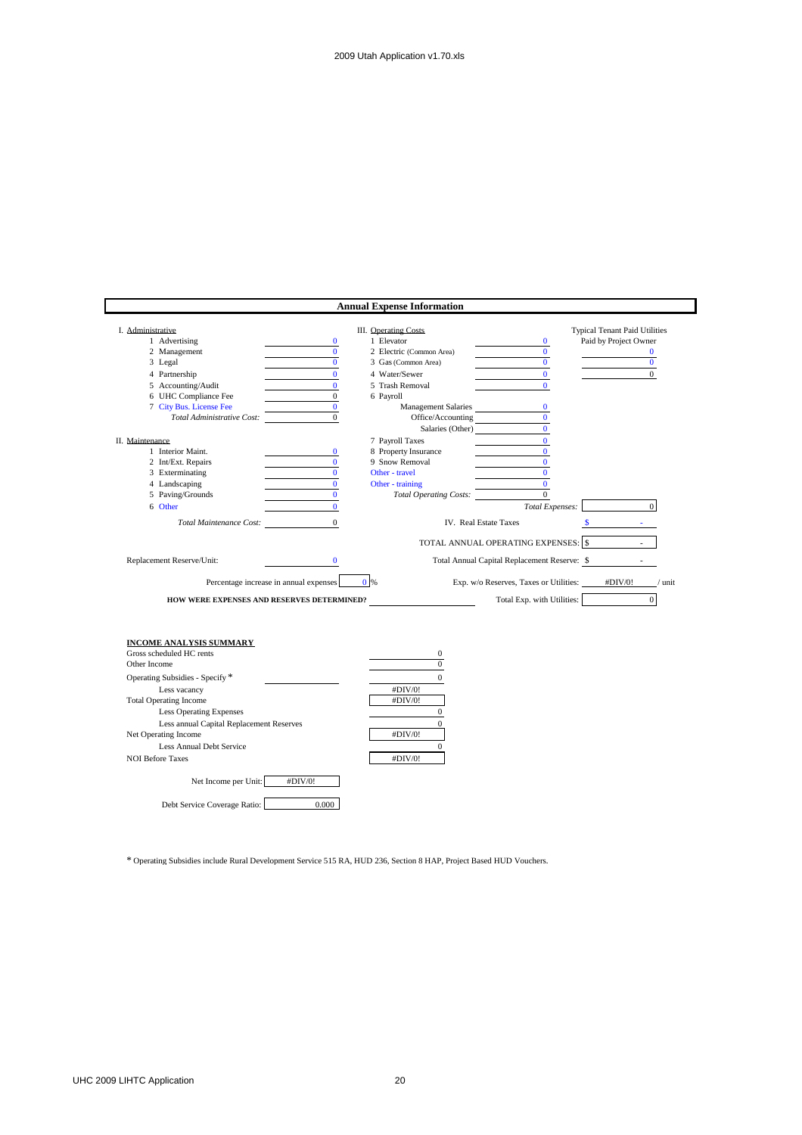|                                                            |                | <b>Annual Expense Information</b> |                                                             |
|------------------------------------------------------------|----------------|-----------------------------------|-------------------------------------------------------------|
| I. Administrative                                          |                | III. Operating Costs              | <b>Typical Tenant Paid Utilities</b>                        |
| 1 Advertising                                              | $\bf{0}$       | 1 Elevator                        | Paid by Project Owner<br>$\bf{0}$                           |
| 2 Management                                               | $\mathbf{0}$   | 2 Electric (Common Area)          | $\mathbf{0}$<br>$\bf{0}$                                    |
| 3 Legal                                                    | $\mathbf{0}$   | 3 Gas (Common Area)               | $\mathbf{0}$<br>$\mathbf{0}$                                |
| 4 Partnership                                              | $\mathbf{0}$   | 4 Water/Sewer                     | $\mathbf{0}$<br>$\mathbf{0}$                                |
| 5 Accounting/Audit                                         | $\bf{0}$       | 5 Trash Removal                   | $\mathbf{0}$                                                |
| 6 UHC Compliance Fee                                       | $\overline{0}$ | 6 Payroll                         |                                                             |
| 7 City Bus. License Fee                                    | $\mathbf{0}$   | <b>Management Salaries</b>        | $\mathbf{0}$                                                |
| Total Administrative Cost:                                 | $\overline{0}$ | Office/Accounting                 | $\mathbf{0}$                                                |
|                                                            |                | Salaries (Other)                  | $\mathbf{0}$                                                |
| II. Maintenance                                            |                | 7 Payroll Taxes                   | $\mathbf{0}$                                                |
| 1 Interior Maint.                                          | $\bf{0}$       | 8 Property Insurance              | $\bf{0}$                                                    |
| 2 Int/Ext. Repairs                                         | $\mathbf{0}$   | 9 Snow Removal                    | $\mathbf{0}$                                                |
| 3 Exterminating                                            | $\bf{0}$       | Other - travel                    | $\bf{0}$                                                    |
| 4 Landscaping                                              | $\mathbf{0}$   | Other - training                  | $\Omega$                                                    |
| 5 Paving/Grounds                                           | $\mathbf{0}$   | <b>Total Operating Costs:</b>     | $\mathbf{0}$                                                |
| 6 Other                                                    | $\mathbf{0}$   |                                   | $\Omega$<br>Total Expenses:                                 |
| Total Maintenance Cost:                                    | $\overline{0}$ | IV. Real Estate Taxes             | $\mathbf{s}$<br><b>Allen</b>                                |
|                                                            |                |                                   |                                                             |
|                                                            |                |                                   | TOTAL ANNUAL OPERATING EXPENSES: \$<br>$\sim$               |
| Replacement Reserve/Unit:                                  | $\bf{0}$       |                                   | Total Annual Capital Replacement Reserve: \$                |
| Percentage increase in annual expenses                     |                | $0\%$                             | Exp. w/o Reserves, Taxes or Utilities:<br>#DIV/0!<br>/ unit |
|                                                            |                |                                   | $\overline{0}$<br>Total Exp. with Utilities:                |
| HOW WERE EXPENSES AND RESERVES DETERMINED?                 |                |                                   |                                                             |
|                                                            |                |                                   |                                                             |
|                                                            |                |                                   |                                                             |
| <b>INCOME ANALYSIS SUMMARY</b><br>Gross scheduled HC rents |                | $\mathbf{0}$                      |                                                             |
| Other Income                                               |                | $\overline{0}$                    |                                                             |
| Operating Subsidies - Specify *                            |                | $\mathbf{0}$                      |                                                             |
|                                                            |                |                                   |                                                             |
| Less vacancy                                               |                | #DIV/0!                           |                                                             |
| <b>Total Operating Income</b>                              |                | #DIV/0!                           |                                                             |
| <b>Less Operating Expenses</b>                             |                | $\boldsymbol{0}$                  |                                                             |
| Less annual Capital Replacement Reserves                   |                | $\mathbf{0}$                      |                                                             |
| Net Operating Income                                       |                | #DIV/0!                           |                                                             |
| Less Annual Debt Service                                   |                | $\Omega$                          |                                                             |
| <b>NOI Before Taxes</b>                                    |                | #DIV/0!                           |                                                             |
| Net Income per Unit:                                       | #DIV/0!        |                                   |                                                             |
| Debt Service Coverage Ratio:                               | 0.000          |                                   |                                                             |

\* Operating Subsidies include Rural Development Service 515 RA, HUD 236, Section 8 HAP, Project Based HUD Vouchers.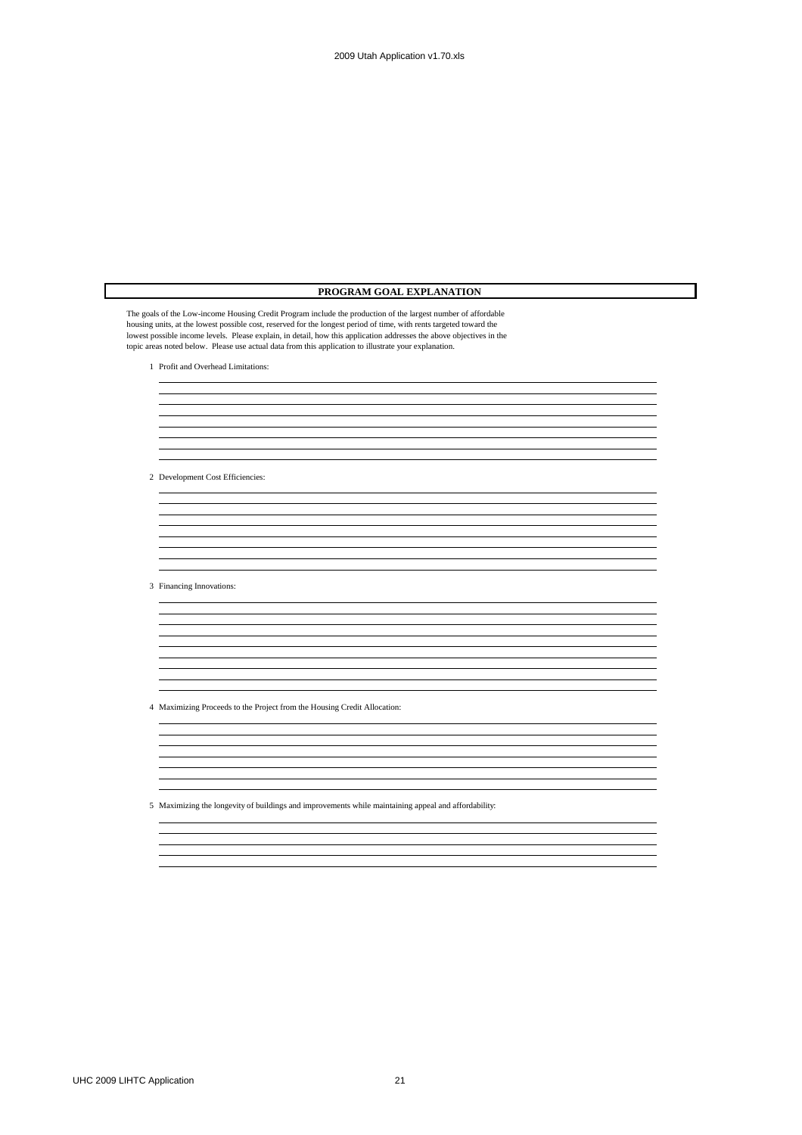| PROGRAM GOAL EXPLANATION                                                                                                                                                                                                                                                                                                                                                                                                                                              |
|-----------------------------------------------------------------------------------------------------------------------------------------------------------------------------------------------------------------------------------------------------------------------------------------------------------------------------------------------------------------------------------------------------------------------------------------------------------------------|
| The goals of the Low-income Housing Credit Program include the production of the largest number of affordable<br>housing units, at the lowest possible cost, reserved for the longest period of time, with rents targeted toward the<br>lowest possible income levels. Please explain, in detail, how this application addresses the above objectives in the<br>topic areas noted below. Please use actual data from this application to illustrate your explanation. |
| 1 Profit and Overhead Limitations:                                                                                                                                                                                                                                                                                                                                                                                                                                    |
|                                                                                                                                                                                                                                                                                                                                                                                                                                                                       |
|                                                                                                                                                                                                                                                                                                                                                                                                                                                                       |
|                                                                                                                                                                                                                                                                                                                                                                                                                                                                       |
|                                                                                                                                                                                                                                                                                                                                                                                                                                                                       |
|                                                                                                                                                                                                                                                                                                                                                                                                                                                                       |
|                                                                                                                                                                                                                                                                                                                                                                                                                                                                       |
| 2 Development Cost Efficiencies:                                                                                                                                                                                                                                                                                                                                                                                                                                      |
|                                                                                                                                                                                                                                                                                                                                                                                                                                                                       |
|                                                                                                                                                                                                                                                                                                                                                                                                                                                                       |
|                                                                                                                                                                                                                                                                                                                                                                                                                                                                       |
|                                                                                                                                                                                                                                                                                                                                                                                                                                                                       |
|                                                                                                                                                                                                                                                                                                                                                                                                                                                                       |
| 3 Financing Innovations:                                                                                                                                                                                                                                                                                                                                                                                                                                              |
|                                                                                                                                                                                                                                                                                                                                                                                                                                                                       |
|                                                                                                                                                                                                                                                                                                                                                                                                                                                                       |
|                                                                                                                                                                                                                                                                                                                                                                                                                                                                       |
|                                                                                                                                                                                                                                                                                                                                                                                                                                                                       |
|                                                                                                                                                                                                                                                                                                                                                                                                                                                                       |
|                                                                                                                                                                                                                                                                                                                                                                                                                                                                       |
| 4 Maximizing Proceeds to the Project from the Housing Credit Allocation:                                                                                                                                                                                                                                                                                                                                                                                              |
|                                                                                                                                                                                                                                                                                                                                                                                                                                                                       |
|                                                                                                                                                                                                                                                                                                                                                                                                                                                                       |
|                                                                                                                                                                                                                                                                                                                                                                                                                                                                       |
|                                                                                                                                                                                                                                                                                                                                                                                                                                                                       |
|                                                                                                                                                                                                                                                                                                                                                                                                                                                                       |
| 5 Maximizing the longevity of buildings and improvements while maintaining appeal and affordability:                                                                                                                                                                                                                                                                                                                                                                  |
|                                                                                                                                                                                                                                                                                                                                                                                                                                                                       |
|                                                                                                                                                                                                                                                                                                                                                                                                                                                                       |
|                                                                                                                                                                                                                                                                                                                                                                                                                                                                       |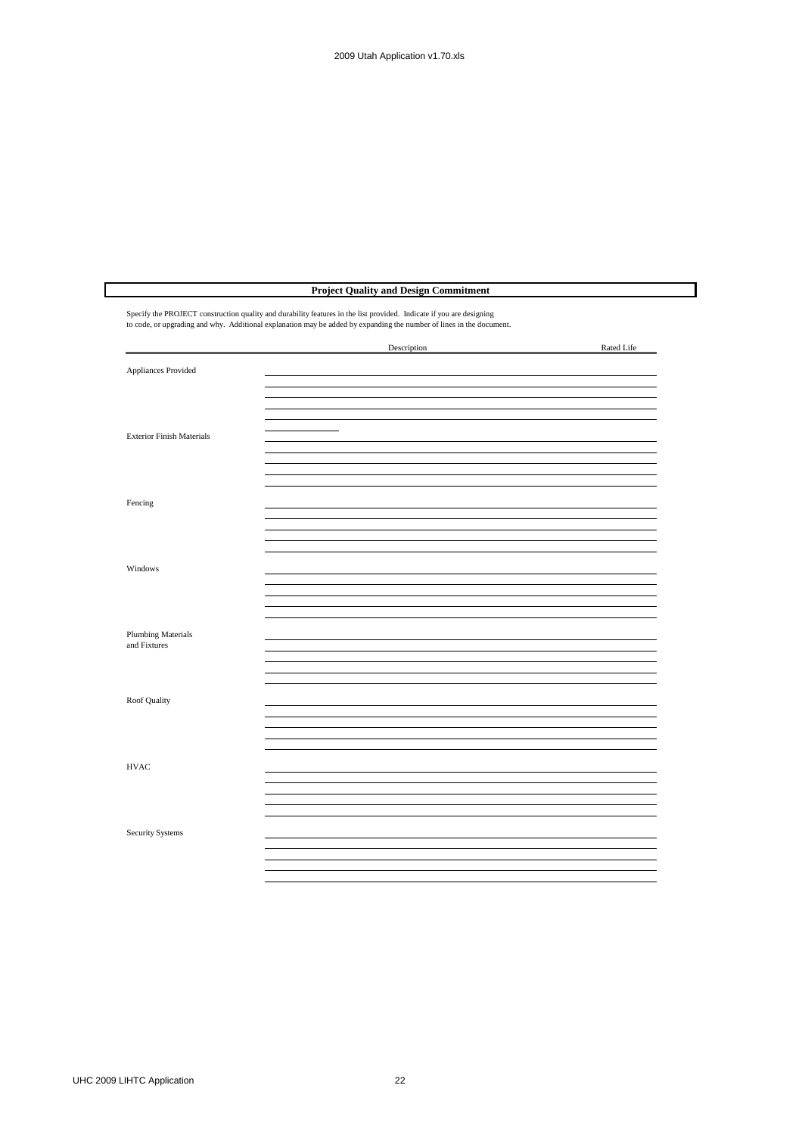### **Project Quality and Design Commitment**

Specify the PROJECT construction quality and durability features in the list provided. Indicate if you are designing to code, or upgrading and why. Additional explanation may be added by expanding the number of lines in the document.

|                                           | Description              | Rated Life |
|-------------------------------------------|--------------------------|------------|
| Appliances Provided                       |                          |            |
|                                           |                          |            |
|                                           |                          |            |
| <b>Exterior Finish Materials</b>          | $\overline{\phantom{0}}$ |            |
|                                           |                          |            |
|                                           |                          |            |
| Fencing                                   |                          |            |
|                                           |                          |            |
| Windows                                   |                          |            |
|                                           |                          |            |
|                                           |                          |            |
| <b>Plumbing Materials</b><br>and Fixtures |                          |            |
|                                           |                          |            |
| Roof Quality                              |                          |            |
|                                           |                          |            |
|                                           |                          |            |
| <b>HVAC</b>                               |                          |            |
|                                           |                          |            |
|                                           |                          |            |
| Security Systems                          |                          |            |
|                                           |                          |            |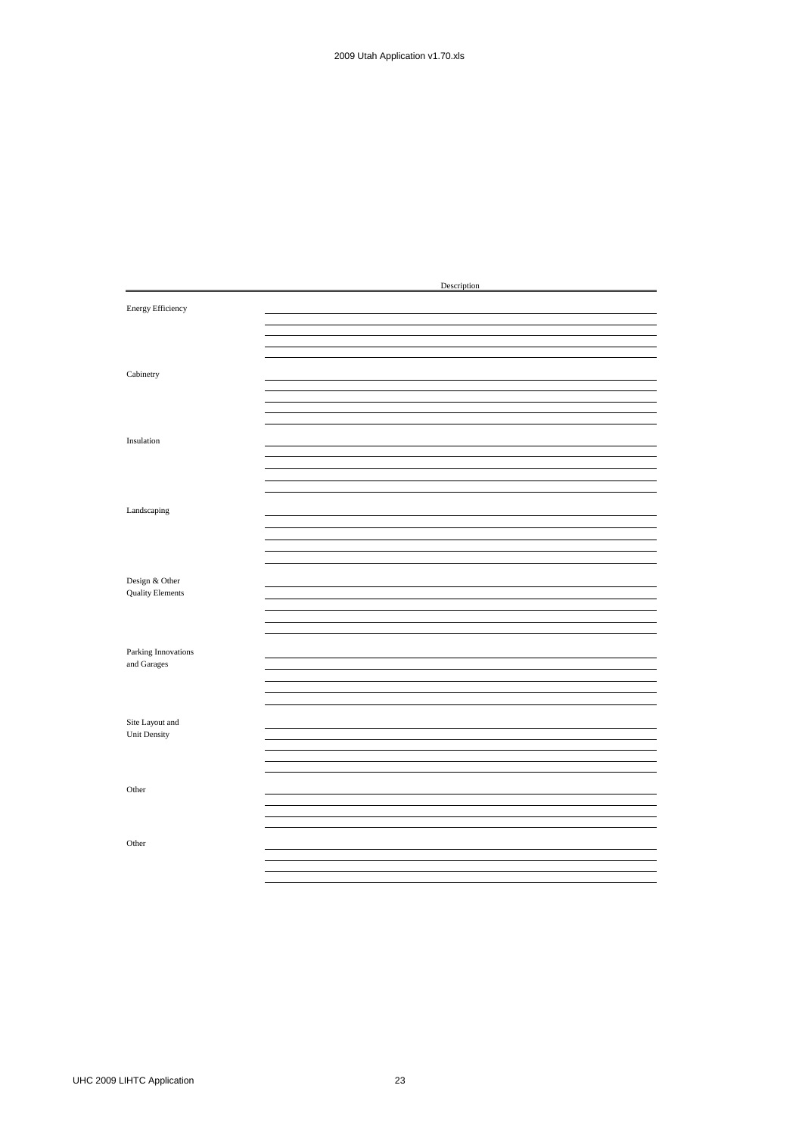|                         | Description |
|-------------------------|-------------|
| Energy Efficiency       |             |
|                         |             |
|                         |             |
|                         |             |
| Cabinetry               |             |
|                         |             |
|                         |             |
|                         |             |
| Insulation              |             |
|                         |             |
|                         |             |
|                         |             |
|                         |             |
| Landscaping             |             |
|                         |             |
|                         |             |
|                         |             |
|                         |             |
| Design & Other          |             |
| <b>Quality Elements</b> |             |
|                         |             |
|                         |             |
|                         |             |
| Parking Innovations     |             |
| and Garages             |             |
|                         |             |
|                         |             |
|                         |             |
| Site Layout and         |             |
| Unit Density            |             |
|                         |             |
|                         |             |
|                         |             |
| Other                   |             |
|                         |             |
|                         |             |
|                         |             |
| Other                   |             |
|                         |             |
|                         |             |
|                         |             |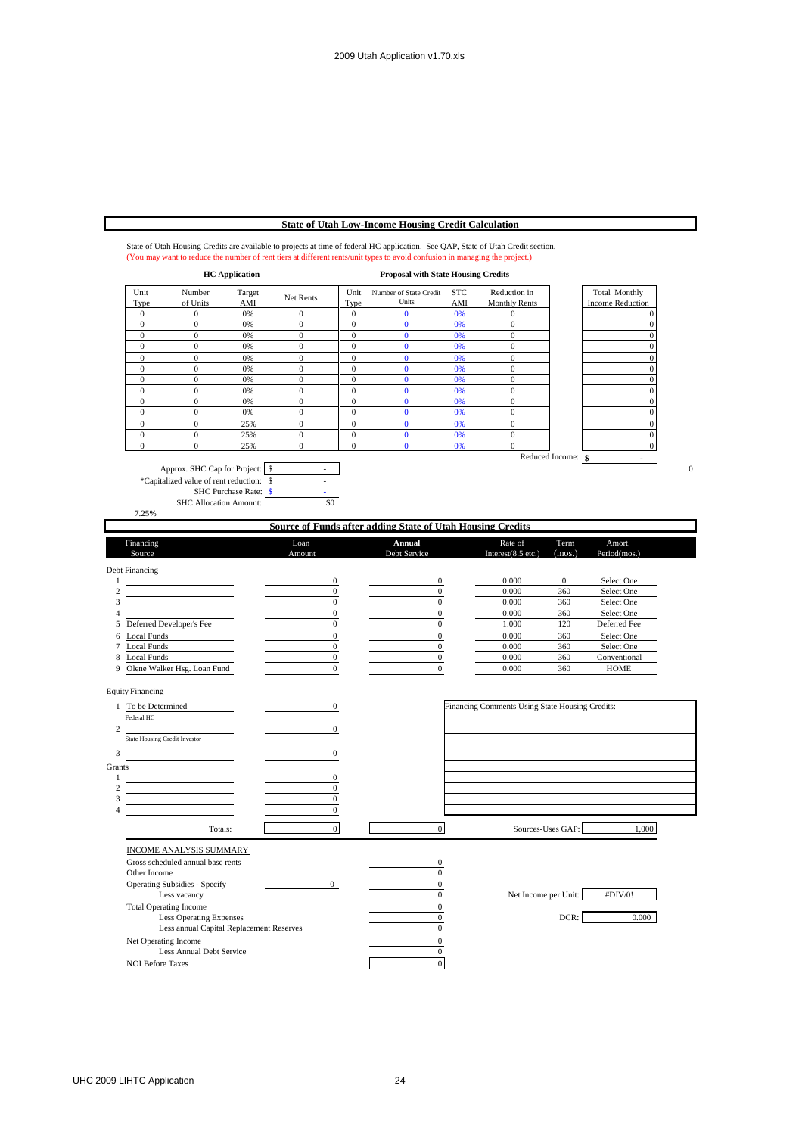# **State of Utah Low-Income Housing Credit Calculation**

| (You may want to reduce the number of rent tiers at different rents/unit types to avoid confusion in managing the project.)<br><b>HC</b> Application |                                                                 |                       |                  | <b>Proposal with State Housing Credits</b> |                                                                   |            |                                                 |                    |                                             |
|------------------------------------------------------------------------------------------------------------------------------------------------------|-----------------------------------------------------------------|-----------------------|------------------|--------------------------------------------|-------------------------------------------------------------------|------------|-------------------------------------------------|--------------------|---------------------------------------------|
| Unit                                                                                                                                                 | Number                                                          | Target                | Net Rents        | Unit                                       | Number of State Credit<br>Units                                   | <b>STC</b> | Reduction in                                    |                    | Total Monthly                               |
| Type<br>$\boldsymbol{0}$                                                                                                                             | of Units<br>$\mathbf{0}$                                        | AMI<br>0%             | $\boldsymbol{0}$ | Type<br>$\mathbf{0}$                       | $\mathbf{0}$                                                      | AMI<br>0%  | <b>Monthly Rents</b><br>$\mathbf{0}$            |                    | <b>Income Reduction</b><br>$\boldsymbol{0}$ |
| $\mathbf{0}$                                                                                                                                         | $\mathbf{0}$                                                    | 0%                    | $\boldsymbol{0}$ | $\mathbf{0}$                               | $\bf{0}$                                                          | 0%         | $\boldsymbol{0}$                                |                    | $\boldsymbol{0}$                            |
| $\boldsymbol{0}$                                                                                                                                     | $\boldsymbol{0}$                                                | 0%                    | $\boldsymbol{0}$ | $\boldsymbol{0}$                           | $\bf{0}$                                                          | 0%         | $\boldsymbol{0}$                                |                    | $\mathbf 0$                                 |
| $\boldsymbol{0}$                                                                                                                                     | $\boldsymbol{0}$                                                | 0%                    | $\boldsymbol{0}$ | $\boldsymbol{0}$                           | $\bf{0}$                                                          | 0%         | $\boldsymbol{0}$                                |                    | $\boldsymbol{0}$                            |
| $\boldsymbol{0}$                                                                                                                                     | $\boldsymbol{0}$                                                | 0%                    | $\boldsymbol{0}$ | $\mathbf{0}$                               | $\mathbf{0}$                                                      | 0%         | $\mathbf{0}$                                    |                    | $\boldsymbol{0}$                            |
| $\mathbf{0}$                                                                                                                                         | $\mathbf{0}$                                                    | 0%                    | $\boldsymbol{0}$ | $\boldsymbol{0}$                           | $\bf{0}$                                                          | 0%         | $\boldsymbol{0}$                                |                    | $\boldsymbol{0}$                            |
| $\boldsymbol{0}$                                                                                                                                     | $\mathbf{0}$                                                    | 0%                    | $\boldsymbol{0}$ | $\mathbf{0}$                               | $\mathbf{0}$                                                      | 0%         | $\boldsymbol{0}$                                |                    | $\boldsymbol{0}$                            |
| $\boldsymbol{0}$                                                                                                                                     | $\boldsymbol{0}$                                                | 0%                    | $\boldsymbol{0}$ | $\boldsymbol{0}$                           | $\bf{0}$                                                          | 0%         | $\boldsymbol{0}$                                |                    | $\boldsymbol{0}$                            |
| $\mathbf{0}$                                                                                                                                         | $\boldsymbol{0}$                                                | 0%                    | $\boldsymbol{0}$ | $\boldsymbol{0}$                           | $\bf{0}$                                                          | 0%         | $\boldsymbol{0}$                                |                    | $\boldsymbol{0}$                            |
| $\boldsymbol{0}$                                                                                                                                     | $\mathbf{0}$                                                    | 0%                    | $\boldsymbol{0}$ | $\overline{0}$                             | $\bf{0}$                                                          | 0%         | $\boldsymbol{0}$                                |                    | $\mathbf 0$                                 |
| $\mathbf{0}$                                                                                                                                         | $\mathbf{0}$                                                    | 25%                   | $\overline{0}$   | $\mathbf{0}$                               | $\mathbf{0}$                                                      | 0%         | $\mathbf{0}$                                    |                    | $\mathbf{0}$                                |
| $\boldsymbol{0}$                                                                                                                                     | $\boldsymbol{0}$                                                | 25%                   | $\boldsymbol{0}$ | $\boldsymbol{0}$                           | $\mathbf{0}$                                                      | 0%         | $\boldsymbol{0}$                                |                    | $\boldsymbol{0}$                            |
| $\boldsymbol{0}$                                                                                                                                     | $\overline{0}$                                                  | 25%                   | $\boldsymbol{0}$ | $\boldsymbol{0}$                           | $\bf{0}$                                                          | 0%         | $\boldsymbol{0}$                                |                    | $\boldsymbol{0}$                            |
|                                                                                                                                                      |                                                                 |                       |                  |                                            |                                                                   |            |                                                 | Reduced Income: \$ |                                             |
|                                                                                                                                                      | Approx. SHC Cap for Project: \§                                 |                       |                  |                                            |                                                                   |            |                                                 |                    |                                             |
|                                                                                                                                                      | *Capitalized value of rent reduction: \$                        |                       |                  |                                            |                                                                   |            |                                                 |                    |                                             |
|                                                                                                                                                      | <b>SHC Allocation Amount:</b>                                   | SHC Purchase Rate: \$ | \$0              |                                            |                                                                   |            |                                                 |                    |                                             |
| 7.25%                                                                                                                                                |                                                                 |                       |                  |                                            |                                                                   |            |                                                 |                    |                                             |
|                                                                                                                                                      |                                                                 |                       |                  |                                            | <b>Source of Funds after adding State of Utah Housing Credits</b> |            |                                                 |                    |                                             |
| Financing                                                                                                                                            |                                                                 |                       | Loan             |                                            | Annual                                                            |            | Rate of                                         | Term               | Amort.                                      |
| Source                                                                                                                                               |                                                                 |                       | Amount           |                                            | Debt Service                                                      |            | Interest $(8.5$ etc.)                           | (mos.)             | Period(mos.)                                |
|                                                                                                                                                      |                                                                 |                       |                  |                                            |                                                                   |            |                                                 |                    |                                             |
| Debt Financing                                                                                                                                       |                                                                 |                       | $\boldsymbol{0}$ |                                            | $\boldsymbol{0}$                                                  |            | 0.000                                           | $\boldsymbol{0}$   | Select One                                  |
|                                                                                                                                                      |                                                                 |                       | $\mathbf{0}$     |                                            | $\boldsymbol{0}$                                                  |            | 0.000                                           | 360                | Select One                                  |
|                                                                                                                                                      |                                                                 |                       | 0                |                                            | $\boldsymbol{0}$                                                  |            | 0.000                                           | 360                | Select One                                  |
|                                                                                                                                                      |                                                                 |                       | $\boldsymbol{0}$ |                                            | $\boldsymbol{0}$                                                  |            | 0.000                                           | 360                | Select One                                  |
|                                                                                                                                                      | Deferred Developer's Fee                                        |                       | $\mathbf{0}$     |                                            | $\bf{0}$                                                          |            | 1.000                                           | 120                | Deferred Fee                                |
| Local Funds                                                                                                                                          |                                                                 |                       | $\boldsymbol{0}$ |                                            | $\boldsymbol{0}$                                                  |            | 0.000                                           | 360                | Select One                                  |
| 7 Local Funds                                                                                                                                        |                                                                 |                       | $\mathbf{0}$     |                                            | $\bf{0}$                                                          |            | 0.000                                           | 360                | Select One                                  |
| Local Funds                                                                                                                                          |                                                                 |                       | $\boldsymbol{0}$ |                                            | $\boldsymbol{0}$                                                  |            | 0.000                                           | 360                | Conventional                                |
| Olene Walker Hsg. Loan Fund                                                                                                                          |                                                                 |                       | $\bf{0}$         |                                            | $\bf{0}$                                                          |            | 0.000                                           | 360                | HOME                                        |
|                                                                                                                                                      |                                                                 |                       |                  |                                            |                                                                   |            |                                                 |                    |                                             |
| <b>Equity Financing</b>                                                                                                                              |                                                                 |                       |                  |                                            |                                                                   |            |                                                 |                    |                                             |
| 1 To be Determined                                                                                                                                   |                                                                 |                       | $\boldsymbol{0}$ |                                            |                                                                   |            | Financing Comments Using State Housing Credits: |                    |                                             |
| Federal HC                                                                                                                                           |                                                                 |                       |                  |                                            |                                                                   |            |                                                 |                    |                                             |
|                                                                                                                                                      |                                                                 |                       | $\boldsymbol{0}$ |                                            |                                                                   |            |                                                 |                    |                                             |
| <b>State Housing Credit Investor</b>                                                                                                                 |                                                                 |                       |                  |                                            |                                                                   |            |                                                 |                    |                                             |
|                                                                                                                                                      |                                                                 |                       | $\boldsymbol{0}$ |                                            |                                                                   |            |                                                 |                    |                                             |
|                                                                                                                                                      |                                                                 |                       |                  |                                            |                                                                   |            |                                                 |                    |                                             |
|                                                                                                                                                      |                                                                 |                       | 0                |                                            |                                                                   |            |                                                 |                    |                                             |
|                                                                                                                                                      |                                                                 |                       | $\boldsymbol{0}$ |                                            |                                                                   |            |                                                 |                    |                                             |
|                                                                                                                                                      |                                                                 |                       | $\boldsymbol{0}$ |                                            |                                                                   |            |                                                 |                    |                                             |
|                                                                                                                                                      |                                                                 |                       | 0                |                                            |                                                                   |            |                                                 |                    |                                             |
|                                                                                                                                                      | Totals:                                                         |                       | $\overline{0}$   |                                            | $\boldsymbol{0}$                                                  |            | Sources-Uses GAP:                               |                    | 1,000                                       |
|                                                                                                                                                      |                                                                 |                       |                  |                                            |                                                                   |            |                                                 |                    |                                             |
|                                                                                                                                                      | <b>INCOME ANALYSIS SUMMARY</b>                                  |                       |                  |                                            |                                                                   |            |                                                 |                    |                                             |
|                                                                                                                                                      | Gross scheduled annual base rents                               |                       |                  |                                            | $\mathbf{0}$                                                      |            |                                                 |                    |                                             |
| Other Income                                                                                                                                         |                                                                 |                       |                  |                                            | $\overline{0}$                                                    |            |                                                 |                    |                                             |
|                                                                                                                                                      | <b>Operating Subsidies - Specify</b><br>Less vacancy            |                       | $\mathbf{0}$     |                                            | $\overline{0}$<br>$\overline{0}$                                  |            | Net Income per Unit:                            |                    | #DIV/0!                                     |
|                                                                                                                                                      |                                                                 |                       |                  |                                            |                                                                   |            |                                                 |                    |                                             |
|                                                                                                                                                      | <b>Total Operating Income</b><br><b>Less Operating Expenses</b> |                       |                  |                                            | $\overline{0}$<br>$\boldsymbol{0}$                                |            |                                                 | DCR:               | 0.000                                       |
|                                                                                                                                                      | Less annual Capital Replacement Reserves                        |                       |                  |                                            | $\boldsymbol{0}$                                                  |            |                                                 |                    |                                             |
|                                                                                                                                                      | Net Operating Income                                            |                       |                  |                                            | $\boldsymbol{0}$                                                  |            |                                                 |                    |                                             |
|                                                                                                                                                      | Less Annual Debt Service                                        |                       |                  |                                            | $\bf{0}$                                                          |            |                                                 |                    |                                             |
| <b>NOI Before Taxes</b>                                                                                                                              |                                                                 |                       |                  |                                            | $\boldsymbol{0}$                                                  |            |                                                 |                    |                                             |
|                                                                                                                                                      |                                                                 |                       |                  |                                            |                                                                   |            |                                                 |                    |                                             |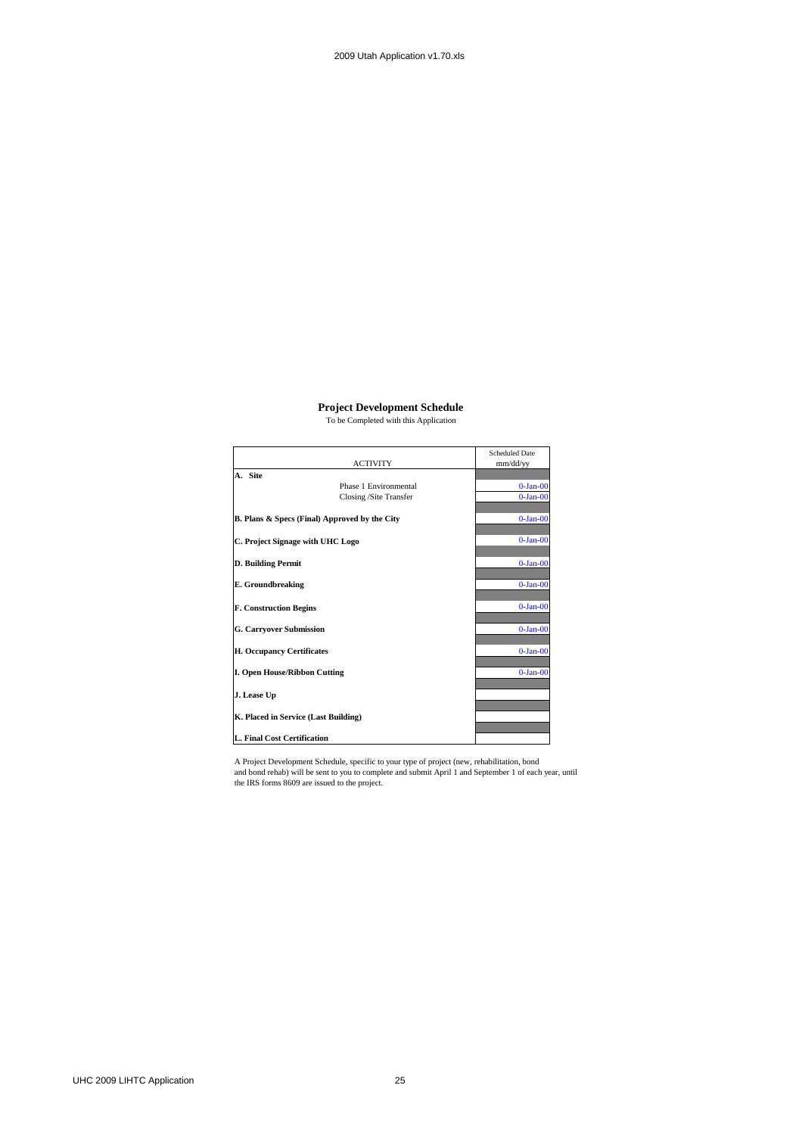#### **Project Development Schedule**

To be Completed with this Application

|                                                          | <b>ACTIVITY</b>        | Scheduled Date<br>mm/dd/yy |
|----------------------------------------------------------|------------------------|----------------------------|
| A. Site                                                  |                        |                            |
|                                                          | Phase 1 Environmental  | $0$ -Jan- $00$             |
|                                                          |                        |                            |
|                                                          | Closing /Site Transfer | $0-Ian-00$                 |
| <b>B. Plans &amp; Specs (Final) Approved by the City</b> |                        | $0-Ian-00$                 |
| C. Project Signage with UHC Logo                         | $0-Ian-00$             |                            |
|                                                          |                        |                            |
| D. Building Permit                                       |                        | $0-Ian-00$                 |
| <b>E.</b> Groundbreaking                                 |                        | $0-Ian-00$                 |
| <b>F. Construction Begins</b>                            |                        | $0 - Jan-00$               |
| <b>G. Carryover Submission</b>                           |                        | $0-Ian-00$                 |
| <b>H. Occupancy Certificates</b>                         |                        | $0-Ian-00$                 |
| <b>I. Open House/Ribbon Cutting</b>                      |                        | $0-Ian-00$                 |
| J. Lease Up                                              |                        |                            |
| K. Placed in Service (Last Building)                     |                        |                            |
|                                                          |                        |                            |
| L. Final Cost Certification                              |                        |                            |

A Project Development Schedule, specific to your type of project (new, rehabilitation, bond and bond rehab) will be sent to you to complete and submit April 1 and September 1 of each year, until the IRS forms 8609 are issued to the project.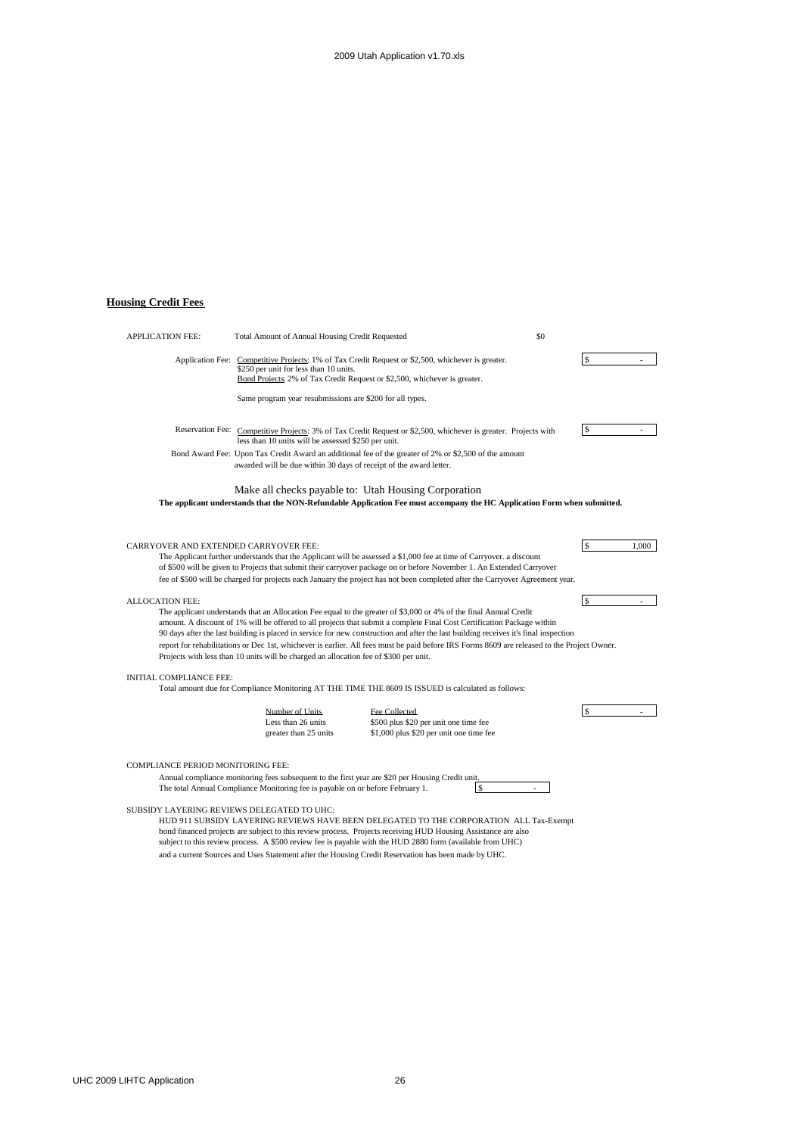# **Housing Credit Fees**

| <b>APPLICATION FEE:</b>                                                                | Total Amount of Annual Housing Credit Requested                                                                                                                                    | \$0                                                                                                                                                                                                                                                                                                                                                                                                                                                                                                                                 |               |
|----------------------------------------------------------------------------------------|------------------------------------------------------------------------------------------------------------------------------------------------------------------------------------|-------------------------------------------------------------------------------------------------------------------------------------------------------------------------------------------------------------------------------------------------------------------------------------------------------------------------------------------------------------------------------------------------------------------------------------------------------------------------------------------------------------------------------------|---------------|
|                                                                                        | \$250 per unit for less than 10 units.<br>Bond Projects: 2% of Tax Credit Request or \$2,500, whichever is greater.                                                                | Application Fee: Competitive Projects: 1% of Tax Credit Request or \$2,500, whichever is greater.                                                                                                                                                                                                                                                                                                                                                                                                                                   | $\mathbb{S}$  |
|                                                                                        | Same program year resubmissions are \$200 for all types.                                                                                                                           |                                                                                                                                                                                                                                                                                                                                                                                                                                                                                                                                     |               |
|                                                                                        | less than 10 units will be assessed \$250 per unit.                                                                                                                                | Reservation Fee: Competitive Projects: 3% of Tax Credit Request or \$2,500, whichever is greater. Projects with                                                                                                                                                                                                                                                                                                                                                                                                                     | \$            |
|                                                                                        | Bond Award Fee: Upon Tax Credit Award an additional fee of the greater of 2% or \$2,500 of the amount<br>awarded will be due within 30 days of receipt of the award letter.        |                                                                                                                                                                                                                                                                                                                                                                                                                                                                                                                                     |               |
|                                                                                        | Make all checks payable to: Utah Housing Corporation                                                                                                                               | The applicant understands that the NON-Refundable Application Fee must accompany the HC Application Form when submitted.                                                                                                                                                                                                                                                                                                                                                                                                            |               |
| CARRYOVER AND EXTENDED CARRYOVER FEE:                                                  |                                                                                                                                                                                    | The Applicant further understands that the Applicant will be assessed a \$1,000 fee at time of Carryover. a discount<br>of \$500 will be given to Projects that submit their carryover package on or before November 1. An Extended Carryover<br>fee of \$500 will be charged for projects each January the project has not been completed after the Carryover Agreement year.                                                                                                                                                      | \$<br>1,000   |
| <b>ALLOCATION FEE:</b>                                                                 | Projects with less than 10 units will be charged an allocation fee of \$300 per unit.                                                                                              | The applicant understands that an Allocation Fee equal to the greater of \$3,000 or 4% of the final Annual Credit<br>amount. A discount of 1% will be offered to all projects that submit a complete Final Cost Certification Package within<br>90 days after the last building is placed in service for new construction and after the last building receives it's final inspection<br>report for rehabilitations or Dec 1st, whichever is earlier. All fees must be paid before IRS Forms 8609 are released to the Project Owner. | \$            |
| INITIAL COMPLIANCE FEE:                                                                |                                                                                                                                                                                    | Total amount due for Compliance Monitoring AT THE TIME THE 8609 IS ISSUED is calculated as follows:                                                                                                                                                                                                                                                                                                                                                                                                                                 |               |
|                                                                                        | Number of Units<br>Less than 26 units<br>greater than 25 units                                                                                                                     | Fee Collected<br>\$500 plus \$20 per unit one time fee<br>\$1,000 plus \$20 per unit one time fee                                                                                                                                                                                                                                                                                                                                                                                                                                   | $\mathcal{S}$ |
| <b>COMPLIANCE PERIOD MONITORING FEE:</b><br>SUBSIDY LAYERING REVIEWS DELEGATED TO UHC: | Annual compliance monitoring fees subsequent to the first year are \$20 per Housing Credit unit.<br>The total Annual Compliance Monitoring fee is payable on or before February 1. | $\mathbf{s}$<br>HUD 011 SURSIDV LAVERING REVIEWS HAVE REEN DELEGATED TO THE CORPORATION ALL Tay-Evannt                                                                                                                                                                                                                                                                                                                                                                                                                              |               |

HUD 911 SUBSIDY LAYERING REVIEWS HAVE BEEN DELEGATED TO THE CORPORATION ALL Tax-Exempt bond financed projects are subject to this review process. Projects receiving HUD Housing Assistance are also subject to this review process. A \$500 review fee is payable with the HUD 2880 form (available from UHC) and a current Sources and Uses Statement after the Housing Credit Reservation has been made by UHC.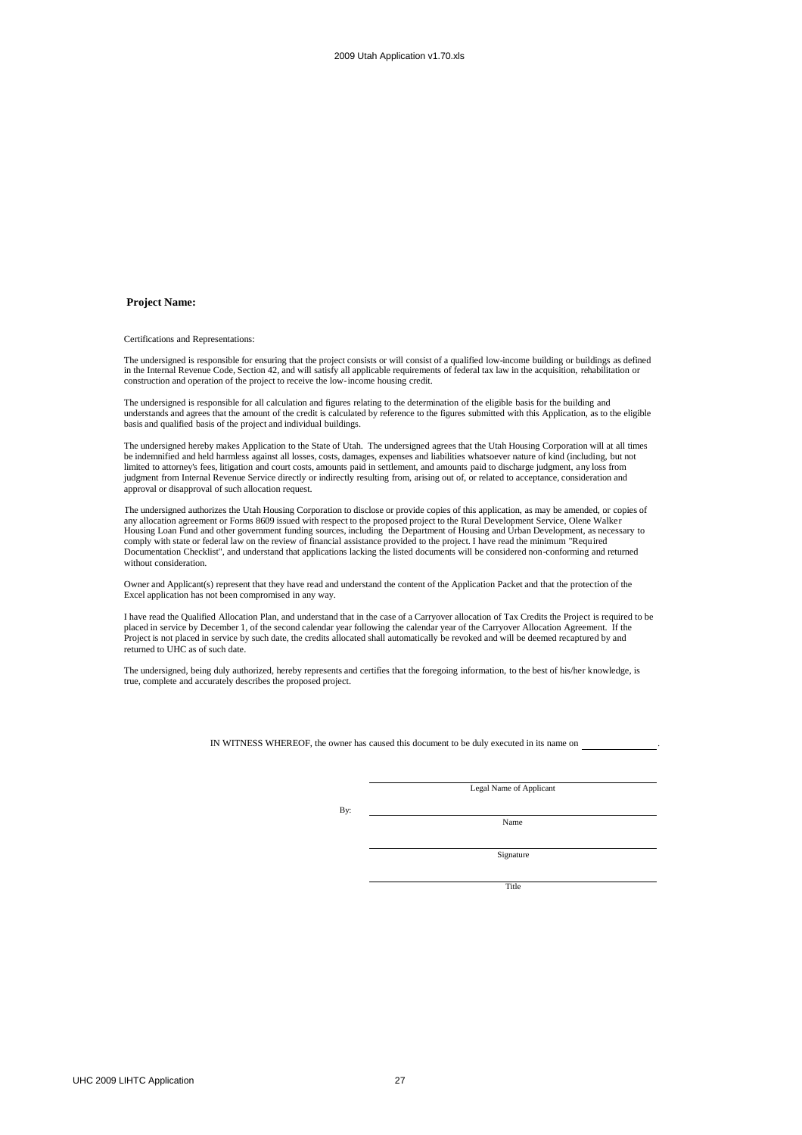#### **Project Name:**

Certifications and Representations:

The undersigned is responsible for ensuring that the project consists or will consist of a qualified low-income building or buildings as defined<br>in the Internal Revenue Code, Section 42, and will satisfy all applicable req construction and operation of the project to receive the low-income housing credit.

The undersigned is responsible for all calculation and figures relating to the determination of the eligible basis for the building and understands and agrees that the amount of the credit is calculated by reference to the figures submitted with this Application, as to the eligible basis and qualified basis of the project and individual buildings.

The undersigned hereby makes Application to the State of Utah. The undersigned agrees that the Utah Housing Corporation will at all times be indemnified and held harmless against all losses, costs, damages, expenses and liabilities whatsoever nature of kind (including, but not limited to attorney's fees, litigation and court costs, amounts paid in settlement, and amounts paid to discharge judgment, any loss from judgment from Internal Revenue Service directly or indirectly resulting from, arising out of, or related to acceptance, consideration and approval or disapproval of such allocation request.

The undersigned authorizes the Utah Housing Corporation to disclose or provide copies of this application, as may be amended, or copies of any allocation agreement or Forms 8609 issued with respect to the proposed project to the Rural Development Service, Olene Walker<br>Housing Loan Fund and other government funding sources, including the Department of Housing comply with state or federal law on the review of financial assistance provided to the project. I have read the minimum "Required Documentation Checklist", and understand that applications lacking the listed documents will be considered non-conforming and returned without consideration.

Owner and Applicant(s) represent that they have read and understand the content of the Application Packet and that the protection of the Excel application has not been compromised in any way.

I have read the Qualified Allocation Plan, and understand that in the case of a Carryover allocation of Tax Credits the Project is required to be placed in service by December 1, of the second calendar year following the calendar year of the Carryover Allocation Agreement. If the Project is not placed in service by such date, the credits allocated shall automatically be revoked and will be deemed recaptured by and returned to UHC as of such date.

The undersigned, being duly authorized, hereby represents and certifies that the foregoing information, to the best of his/her knowledge, is true, complete and accurately describes the proposed project.

IN WITNESS WHEREOF, the owner has caused this document to be duly executed in its name on .

Legal Name of Applicant

By:

Name

Signature

Title